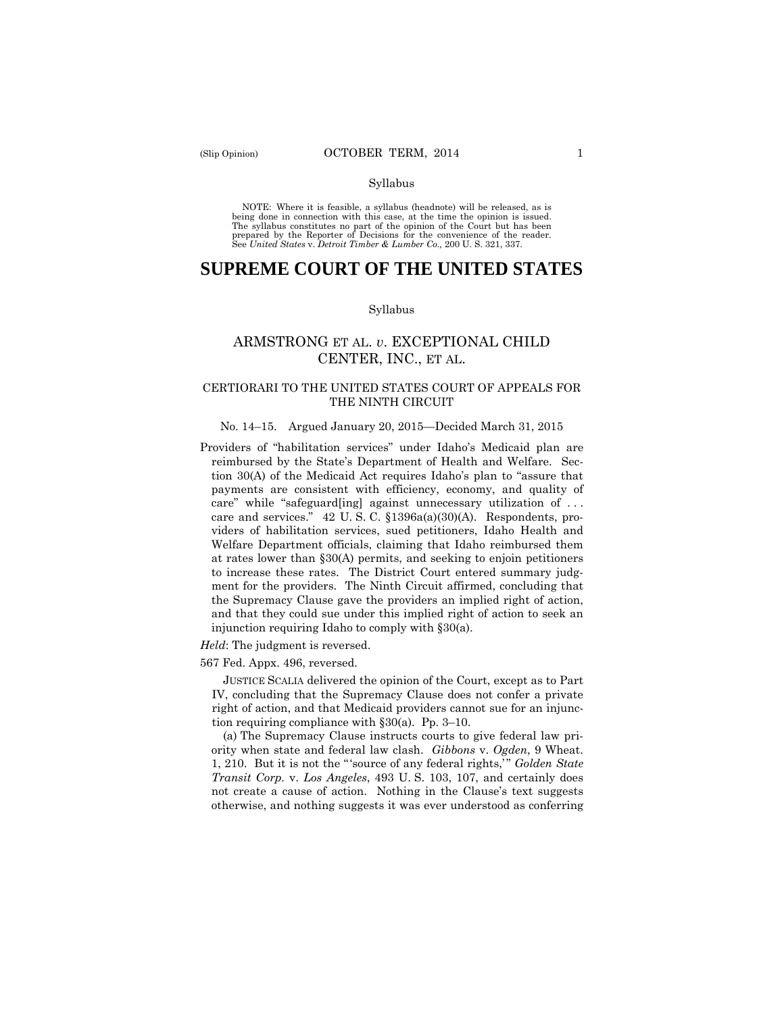#### Syllabus

 NOTE: Where it is feasible, a syllabus (headnote) will be released, as is being done in connection with this case, at the time the opinion is issued. The syllabus constitutes no part of the opinion of the Court but has been<br>prepared by the Reporter of Decisions for the convenience of the reader.<br>See United States v. Detroit Timber & Lumber Co., 200 U. S. 321, 337.

# **SUPREME COURT OF THE UNITED STATES**

#### Syllabus

## ARMSTRONG ET AL. *v*. EXCEPTIONAL CHILD CENTER, INC., ET AL.

## CERTIORARI TO THE UNITED STATES COURT OF APPEALS FOR THE NINTH CIRCUIT

#### No. 14–15. Argued January 20, 2015—Decided March 31, 2015

Providers of "habilitation services" under Idaho's Medicaid plan are reimbursed by the State's Department of Health and Welfare. Section 30(A) of the Medicaid Act requires Idaho's plan to "assure that payments are consistent with efficiency, economy, and quality of care" while "safeguard[ing] against unnecessary utilization of . . . care and services." 42 U. S. C. §1396a(a)(30)(A). Respondents, providers of habilitation services, sued petitioners, Idaho Health and Welfare Department officials, claiming that Idaho reimbursed them at rates lower than §30(A) permits, and seeking to enjoin petitioners to increase these rates. The District Court entered summary judgment for the providers. The Ninth Circuit affirmed, concluding that the Supremacy Clause gave the providers an implied right of action, and that they could sue under this implied right of action to seek an injunction requiring Idaho to comply with §30(a).

*Held*: The judgment is reversed.

567 Fed. Appx. 496, reversed.

JUSTICE SCALIA delivered the opinion of the Court, except as to Part IV, concluding that the Supremacy Clause does not confer a private right of action, and that Medicaid providers cannot sue for an injunction requiring compliance with §30(a). Pp. 3–10.

(a) The Supremacy Clause instructs courts to give federal law priority when state and federal law clash. *Gibbons* v. *Ogden*, 9 Wheat. 1, 210. But it is not the " 'source of any federal rights,' " *Golden State Transit Corp.* v. *Los Angeles*, 493 U. S. 103, 107, and certainly does not create a cause of action. Nothing in the Clause's text suggests otherwise, and nothing suggests it was ever understood as conferring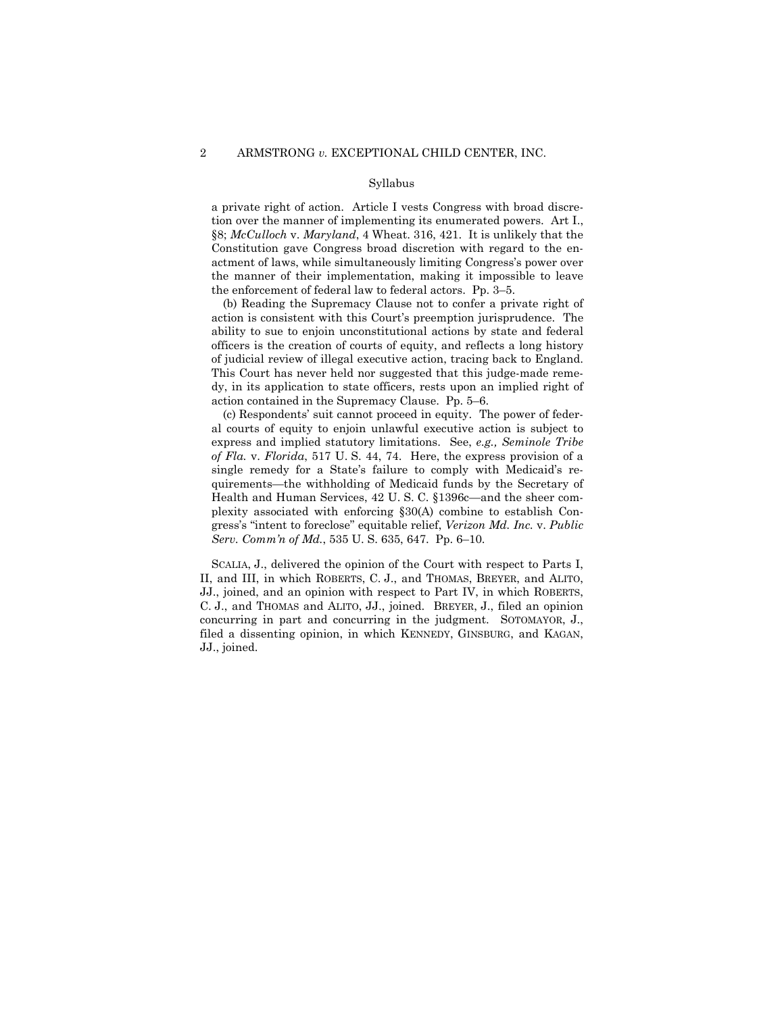#### Syllabus

a private right of action. Article I vests Congress with broad discretion over the manner of implementing its enumerated powers. Art I., §8; *McCulloch* v. *Maryland*, 4 Wheat. 316, 421. It is unlikely that the Constitution gave Congress broad discretion with regard to the enactment of laws, while simultaneously limiting Congress's power over the manner of their implementation, making it impossible to leave the enforcement of federal law to federal actors. Pp. 3–5.

 of judicial review of illegal executive action, tracing back to England. (b) Reading the Supremacy Clause not to confer a private right of action is consistent with this Court's preemption jurisprudence. The ability to sue to enjoin unconstitutional actions by state and federal officers is the creation of courts of equity, and reflects a long history This Court has never held nor suggested that this judge-made remedy, in its application to state officers, rests upon an implied right of action contained in the Supremacy Clause. Pp. 5–6.

 (c) Respondents' suit cannot proceed in equity. The power of federal courts of equity to enjoin unlawful executive action is subject to express and implied statutory limitations. See, *e.g., Seminole Tribe of Fla.* v. *Florida*, 517 U. S. 44, 74. Here, the express provision of a single remedy for a State's failure to comply with Medicaid's requirements—the withholding of Medicaid funds by the Secretary of Health and Human Services, 42 U. S. C. §1396c—and the sheer complexity associated with enforcing §30(A) combine to establish Congress's "intent to foreclose" equitable relief, *Verizon Md. Inc.* v. *Public Serv. Comm'n of Md.*, 535 U. S. 635, 647. Pp. 6–10.

 SCALIA, J., delivered the opinion of the Court with respect to Parts I, II, and III, in which ROBERTS, C. J., and THOMAS, BREYER, and ALITO, JJ., joined, and an opinion with respect to Part IV, in which ROBERTS, C. J., and THOMAS and ALITO, JJ., joined. BREYER, J., filed an opinion concurring in part and concurring in the judgment. SOTOMAYOR, J., filed a dissenting opinion, in which KENNEDY, GINSBURG, and KAGAN, JJ., joined.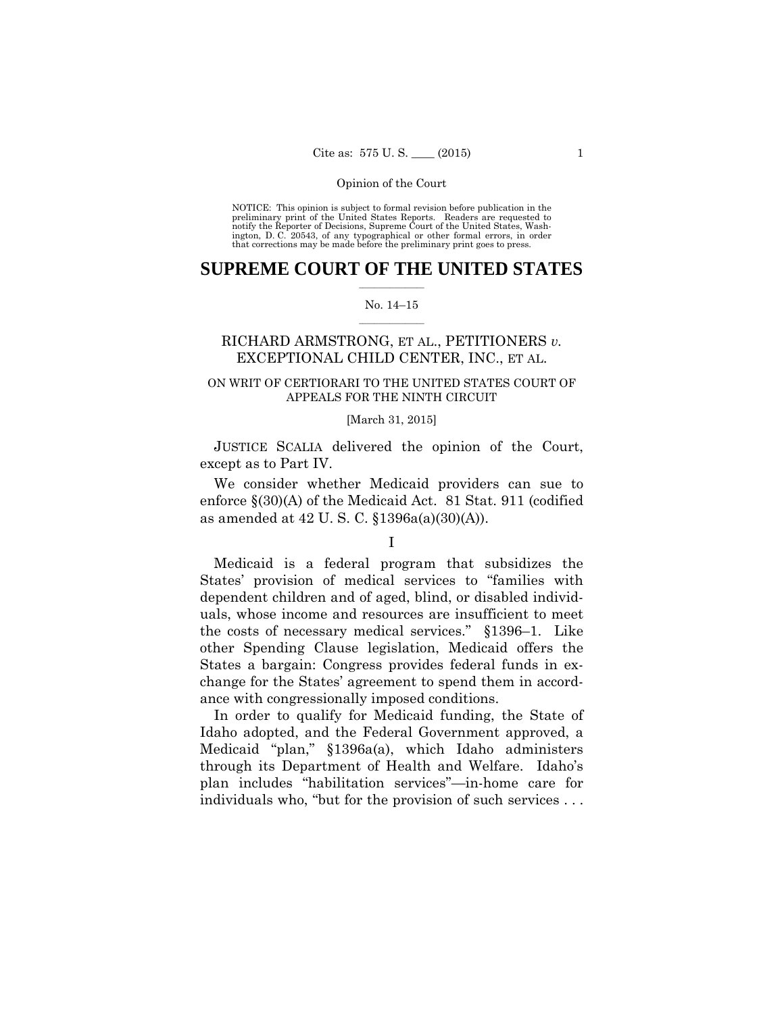preliminary print of the United States Reports. Readers are requested to notify the Reporter of Decisions, Supreme Court of the United States, Wash- ington, D. C. 20543, of any typographical or other formal errors, in order that corrections may be made before the preliminary print goes to press. NOTICE: This opinion is subject to formal revision before publication in the

### $\frac{1}{2}$  ,  $\frac{1}{2}$  ,  $\frac{1}{2}$  ,  $\frac{1}{2}$  ,  $\frac{1}{2}$  ,  $\frac{1}{2}$  ,  $\frac{1}{2}$ **SUPREME COURT OF THE UNITED STATES**

#### $\frac{1}{2}$  ,  $\frac{1}{2}$  ,  $\frac{1}{2}$  ,  $\frac{1}{2}$  ,  $\frac{1}{2}$  ,  $\frac{1}{2}$ No. 14–15

## RICHARD ARMSTRONG, ET AL., PETITIONERS *v.* EXCEPTIONAL CHILD CENTER, INC., ET AL.

## ON WRIT OF CERTIORARI TO THE UNITED STATES COURT OF APPEALS FOR THE NINTH CIRCUIT

#### [March 31, 2015]

 JUSTICE SCALIA delivered the opinion of the Court, except as to Part IV.

We consider whether Medicaid providers can sue to enforce §(30)(A) of the Medicaid Act. 81 Stat. 911 (codified as amended at 42 U. S. C. §1396a(a)(30)(A)).

Medicaid is a federal program that subsidizes the States' provision of medical services to "families with dependent children and of aged, blind, or disabled individuals, whose income and resources are insufficient to meet the costs of necessary medical services." §1396–1. Like other Spending Clause legislation, Medicaid offers the States a bargain: Congress provides federal funds in exchange for the States' agreement to spend them in accordance with congressionally imposed conditions.

In order to qualify for Medicaid funding, the State of Idaho adopted, and the Federal Government approved, a Medicaid "plan," §1396a(a), which Idaho administers through its Department of Health and Welfare. Idaho's plan includes "habilitation services"—in-home care for individuals who, "but for the provision of such services . . .

I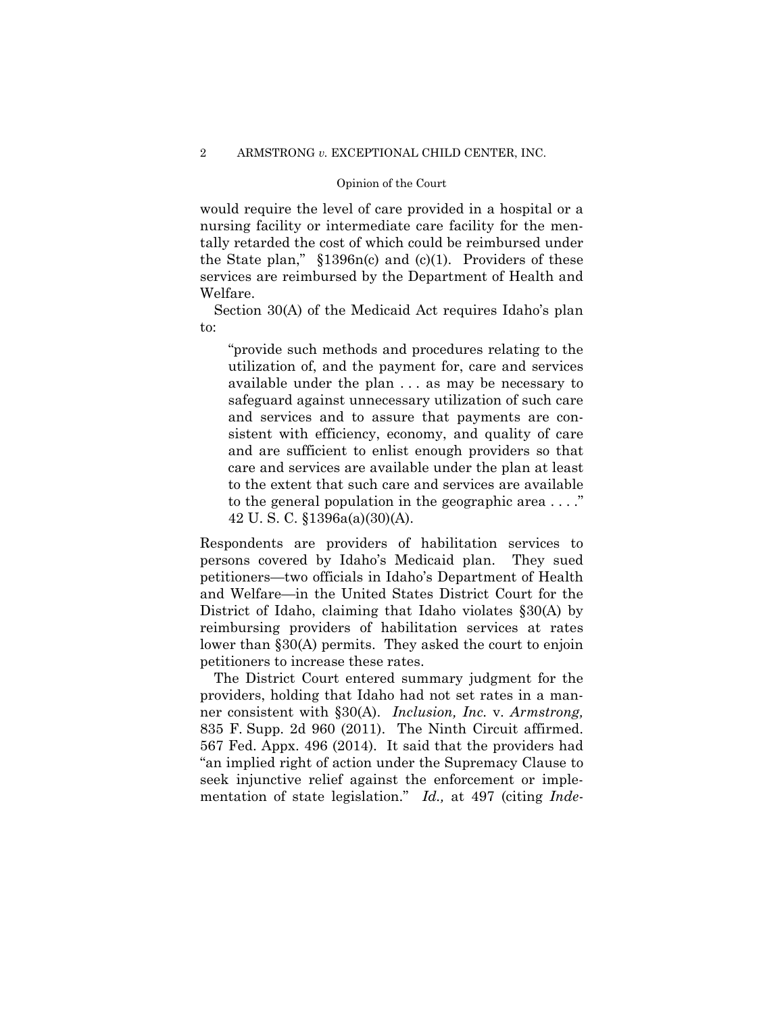would require the level of care provided in a hospital or a nursing facility or intermediate care facility for the mentally retarded the cost of which could be reimbursed under the State plan,"  $$1396n(c)$  and (c)(1). Providers of these services are reimbursed by the Department of Health and Welfare.

Section 30(A) of the Medicaid Act requires Idaho's plan to:

"provide such methods and procedures relating to the utilization of, and the payment for, care and services available under the plan . . . as may be necessary to safeguard against unnecessary utilization of such care and services and to assure that payments are consistent with efficiency, economy, and quality of care and are sufficient to enlist enough providers so that care and services are available under the plan at least to the extent that such care and services are available to the general population in the geographic area . . . ." 42 U. S. C. §1396a(a)(30)(A).

Respondents are providers of habilitation services to persons covered by Idaho's Medicaid plan. They sued petitioners—two officials in Idaho's Department of Health and Welfare—in the United States District Court for the District of Idaho, claiming that Idaho violates §30(A) by reimbursing providers of habilitation services at rates lower than §30(A) permits. They asked the court to enjoin petitioners to increase these rates.

The District Court entered summary judgment for the providers, holding that Idaho had not set rates in a manner consistent with §30(A). *Inclusion, Inc.* v. *Armstrong,* 835 F. Supp. 2d 960 (2011). The Ninth Circuit affirmed. 567 Fed. Appx. 496 (2014). It said that the providers had "an implied right of action under the Supremacy Clause to seek injunctive relief against the enforcement or implementation of state legislation." *Id.,* at 497 (citing *Inde-*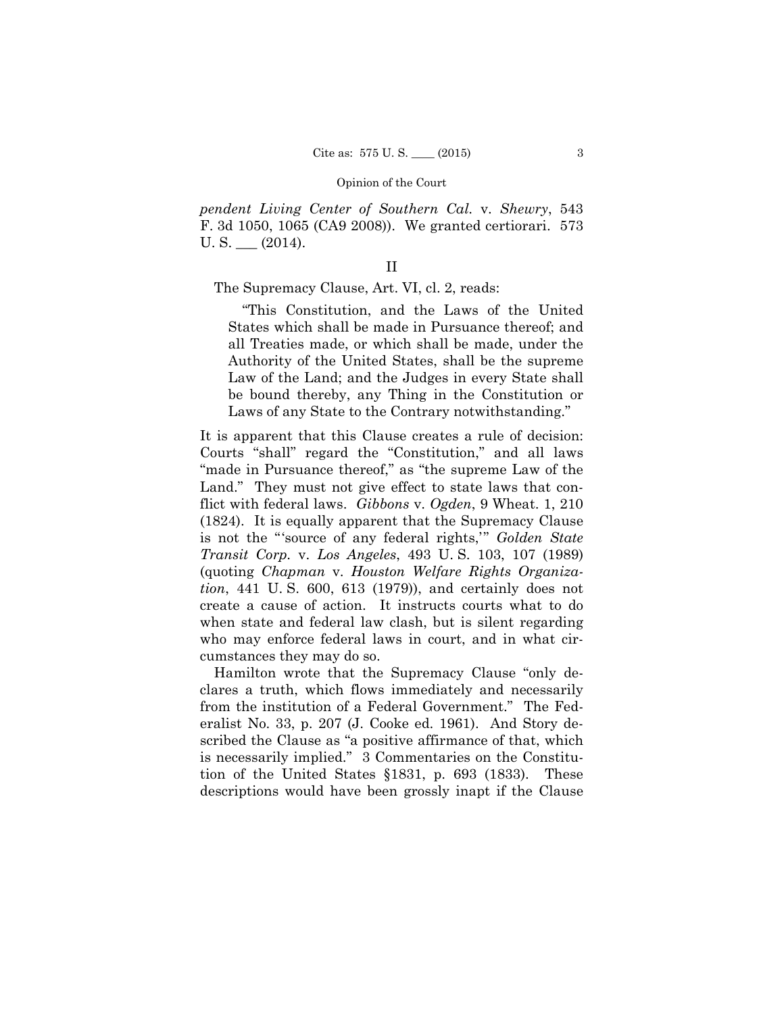*pendent Living Center of Southern Cal.* v. *Shewry*, 543 F. 3d 1050, 1065 (CA9 2008)). We granted certiorari. 573  $U.S.$  (2014).

The Supremacy Clause, Art. VI, cl. 2, reads:

 "This Constitution, and the Laws of the United States which shall be made in Pursuance thereof; and all Treaties made, or which shall be made, under the Authority of the United States, shall be the supreme Law of the Land; and the Judges in every State shall be bound thereby, any Thing in the Constitution or Laws of any State to the Contrary notwithstanding."

It is apparent that this Clause creates a rule of decision: Courts "shall" regard the "Constitution," and all laws "made in Pursuance thereof," as "the supreme Law of the Land." They must not give effect to state laws that conflict with federal laws. *Gibbons* v. *Ogden*, 9 Wheat. 1, 210 (1824). It is equally apparent that the Supremacy Clause is not the "'source of any federal rights,'" *Golden State Transit Corp.* v. *Los Angeles*, 493 U. S. 103, 107 (1989) (quoting *Chapman* v. *Houston Welfare Rights Organization*, 441 U. S. 600, 613 (1979)), and certainly does not create a cause of action. It instructs courts what to do when state and federal law clash, but is silent regarding who may enforce federal laws in court, and in what circumstances they may do so.

 Hamilton wrote that the Supremacy Clause "only declares a truth, which flows immediately and necessarily from the institution of a Federal Government." The Federalist No. 33, p. 207 (J. Cooke ed. 1961). And Story described the Clause as "a positive affirmance of that, which is necessarily implied." 3 Commentaries on the Constitution of the United States §1831, p. 693 (1833). These descriptions would have been grossly inapt if the Clause

II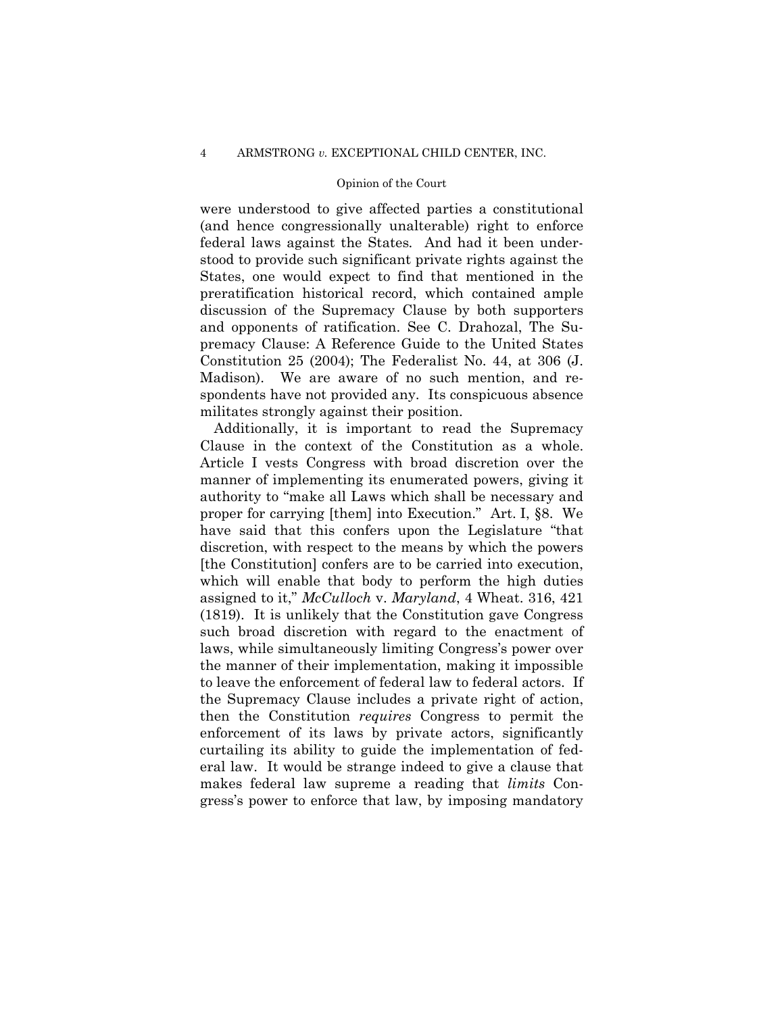were understood to give affected parties a constitutional (and hence congressionally unalterable) right to enforce federal laws against the States*.* And had it been understood to provide such significant private rights against the States, one would expect to find that mentioned in the preratification historical record, which contained ample discussion of the Supremacy Clause by both supporters and opponents of ratification. See C. Drahozal, The Supremacy Clause: A Reference Guide to the United States Constitution 25 (2004); The Federalist No. 44, at 306 (J. Madison). We are aware of no such mention, and respondents have not provided any. Its conspicuous absence militates strongly against their position.

Additionally, it is important to read the Supremacy Clause in the context of the Constitution as a whole. Article I vests Congress with broad discretion over the manner of implementing its enumerated powers, giving it authority to "make all Laws which shall be necessary and proper for carrying [them] into Execution." Art. I, §8. We have said that this confers upon the Legislature "that discretion, with respect to the means by which the powers [the Constitution] confers are to be carried into execution, which will enable that body to perform the high duties assigned to it," *McCulloch* v. *Maryland*, 4 Wheat. 316, 421 (1819). It is unlikely that the Constitution gave Congress such broad discretion with regard to the enactment of laws, while simultaneously limiting Congress's power over the manner of their implementation, making it impossible to leave the enforcement of federal law to federal actors. If the Supremacy Clause includes a private right of action, then the Constitution *requires* Congress to permit the enforcement of its laws by private actors, significantly curtailing its ability to guide the implementation of federal law. It would be strange indeed to give a clause that makes federal law supreme a reading that *limits* Congress's power to enforce that law, by imposing mandatory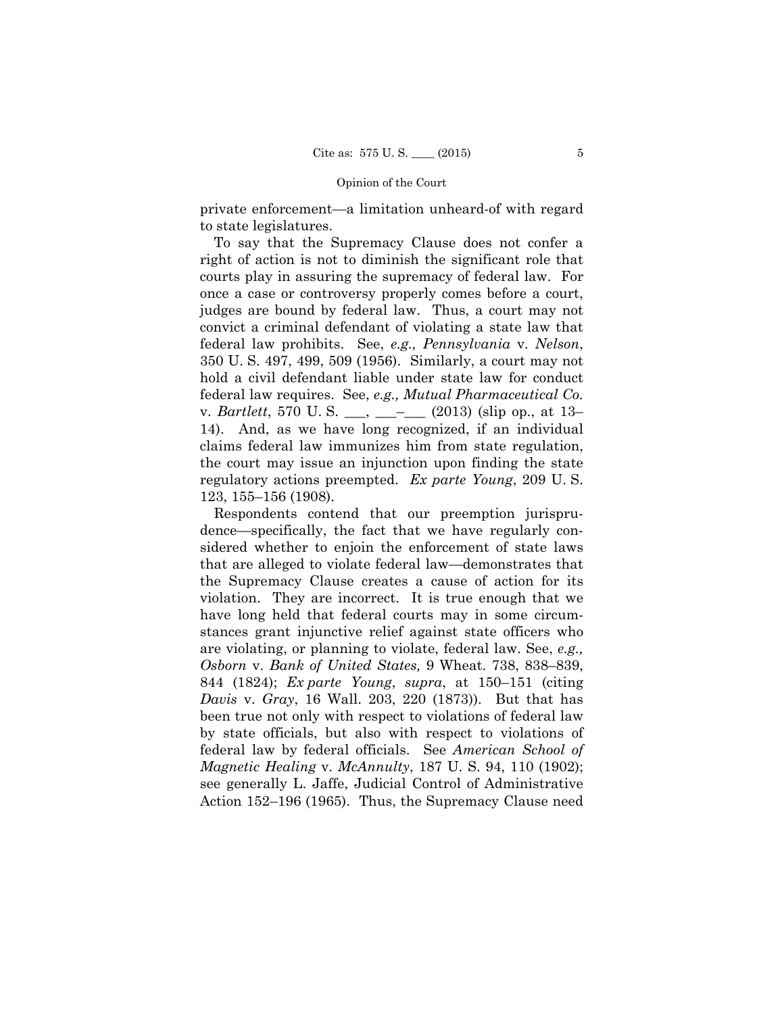private enforcement—a limitation unheard-of with regard to state legislatures.

To say that the Supremacy Clause does not confer a right of action is not to diminish the significant role that courts play in assuring the supremacy of federal law. For once a case or controversy properly comes before a court, judges are bound by federal law. Thus, a court may not convict a criminal defendant of violating a state law that federal law prohibits. See, *e.g., Pennsylvania* v. *Nelson*, 350 U. S. 497, 499, 509 (1956). Similarly, a court may not hold a civil defendant liable under state law for conduct federal law requires. See, *e.g., Mutual Pharmaceutical Co.*  v. *Bartlett*, 570 U. S. \_\_\_, \_\_\_–\_\_\_ (2013) (slip op., at 13– 14). And, as we have long recognized, if an individual claims federal law immunizes him from state regulation, the court may issue an injunction upon finding the state regulatory actions preempted. *Ex parte Young*, 209 U. S. 123, 155–156 (1908).

Respondents contend that our preemption jurisprudence—specifically, the fact that we have regularly considered whether to enjoin the enforcement of state laws that are alleged to violate federal law—demonstrates that the Supremacy Clause creates a cause of action for its violation. They are incorrect. It is true enough that we have long held that federal courts may in some circumstances grant injunctive relief against state officers who are violating, or planning to violate, federal law. See, *e.g., Osborn* v. *Bank of United States,* 9 Wheat. 738, 838–839, 844 (1824); *Ex parte Young*, *supra*, at 150–151 (citing *Davis* v. *Gray*, 16 Wall. 203, 220 (1873)). But that has been true not only with respect to violations of federal law by state officials, but also with respect to violations of federal law by federal officials. See *American School of Magnetic Healing* v. *McAnnulty*, 187 U. S. 94, 110 (1902); see generally L. Jaffe, Judicial Control of Administrative Action 152–196 (1965). Thus, the Supremacy Clause need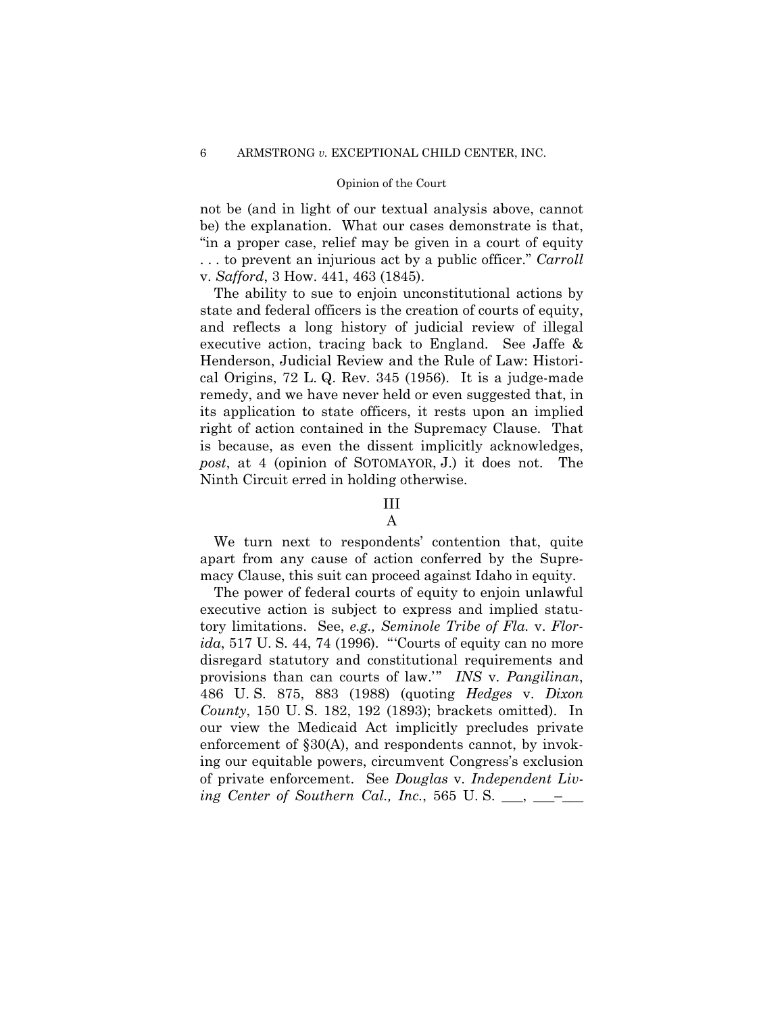not be (and in light of our textual analysis above, cannot be) the explanation. What our cases demonstrate is that, "in a proper case, relief may be given in a court of equity . . . to prevent an injurious act by a public officer." *Carroll*  v. *Safford*, 3 How. 441, 463 (1845).

The ability to sue to enjoin unconstitutional actions by state and federal officers is the creation of courts of equity, and reflects a long history of judicial review of illegal executive action, tracing back to England. See Jaffe & Henderson, Judicial Review and the Rule of Law: Historical Origins, 72 L. Q. Rev. 345 (1956). It is a judge-made remedy, and we have never held or even suggested that, in its application to state officers, it rests upon an implied right of action contained in the Supremacy Clause. That is because, as even the dissent implicitly acknowledges, *post*, at 4 (opinion of SOTOMAYOR, J.) it does not. The Ninth Circuit erred in holding otherwise.

### III

## A

We turn next to respondents' contention that, quite apart from any cause of action conferred by the Supremacy Clause, this suit can proceed against Idaho in equity.

The power of federal courts of equity to enjoin unlawful executive action is subject to express and implied statutory limitations. See, *e.g., Seminole Tribe of Fla.* v. *Florida*, 517 U. S. 44, 74 (1996). "'Courts of equity can no more disregard statutory and constitutional requirements and provisions than can courts of law.'" *INS* v. *Pangilinan*, 486 U. S. 875, 883 (1988) (quoting *Hedges* v. *Dixon County*, 150 U. S. 182, 192 (1893); brackets omitted). In our view the Medicaid Act implicitly precludes private enforcement of §30(A), and respondents cannot, by invoking our equitable powers, circumvent Congress's exclusion of private enforcement. See *Douglas* v. *Independent Living Center of Southern Cal., Inc., 565 U.S.* \_\_\_, \_\_\_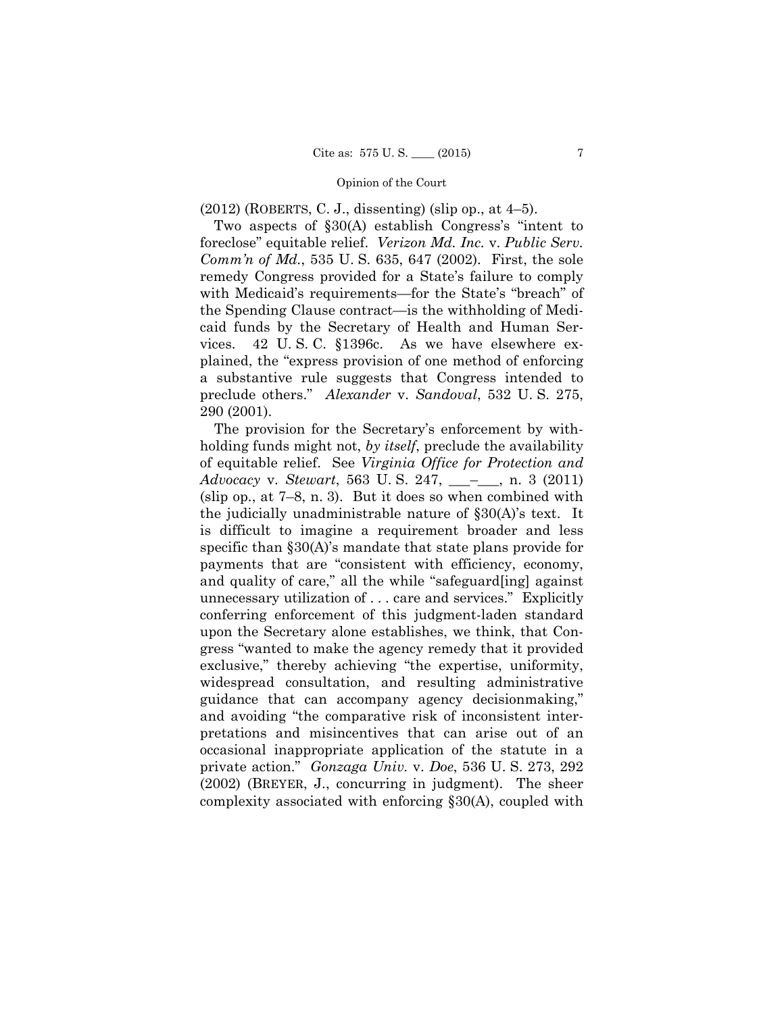(2012) (ROBERTS, C. J., dissenting) (slip op., at 4–5).

Two aspects of §30(A) establish Congress's "intent to foreclose" equitable relief. *Verizon Md. Inc.* v. *Public Serv. Comm'n of Md.*, 535 U. S. 635, 647 (2002). First, the sole remedy Congress provided for a State's failure to comply with Medicaid's requirements—for the State's "breach" of the Spending Clause contract—is the withholding of Medicaid funds by the Secretary of Health and Human Services. 42 U. S. C. §1396c. As we have elsewhere explained, the "express provision of one method of enforcing a substantive rule suggests that Congress intended to preclude others." *Alexander* v. *Sandoval*, 532 U. S. 275, 290 (2001).

 (slip op., at 7–8, n. 3). But it does so when combined with The provision for the Secretary's enforcement by withholding funds might not, *by itself*, preclude the availability of equitable relief. See *Virginia Office for Protection and Advocacy* v. *Stewart*, 563 U. S. 247, \_\_\_–\_\_\_, n. 3 (2011) the judicially unadministrable nature of §30(A)'s text. It is difficult to imagine a requirement broader and less specific than §30(A)'s mandate that state plans provide for payments that are "consistent with efficiency, economy, and quality of care," all the while "safeguard[ing] against unnecessary utilization of . . . care and services." Explicitly conferring enforcement of this judgment-laden standard upon the Secretary alone establishes, we think, that Congress "wanted to make the agency remedy that it provided exclusive," thereby achieving "the expertise, uniformity, widespread consultation, and resulting administrative guidance that can accompany agency decisionmaking," and avoiding "the comparative risk of inconsistent interpretations and misincentives that can arise out of an occasional inappropriate application of the statute in a private action." *Gonzaga Univ.* v. *Doe*, 536 U. S. 273, 292 (2002) (BREYER, J., concurring in judgment). The sheer complexity associated with enforcing §30(A), coupled with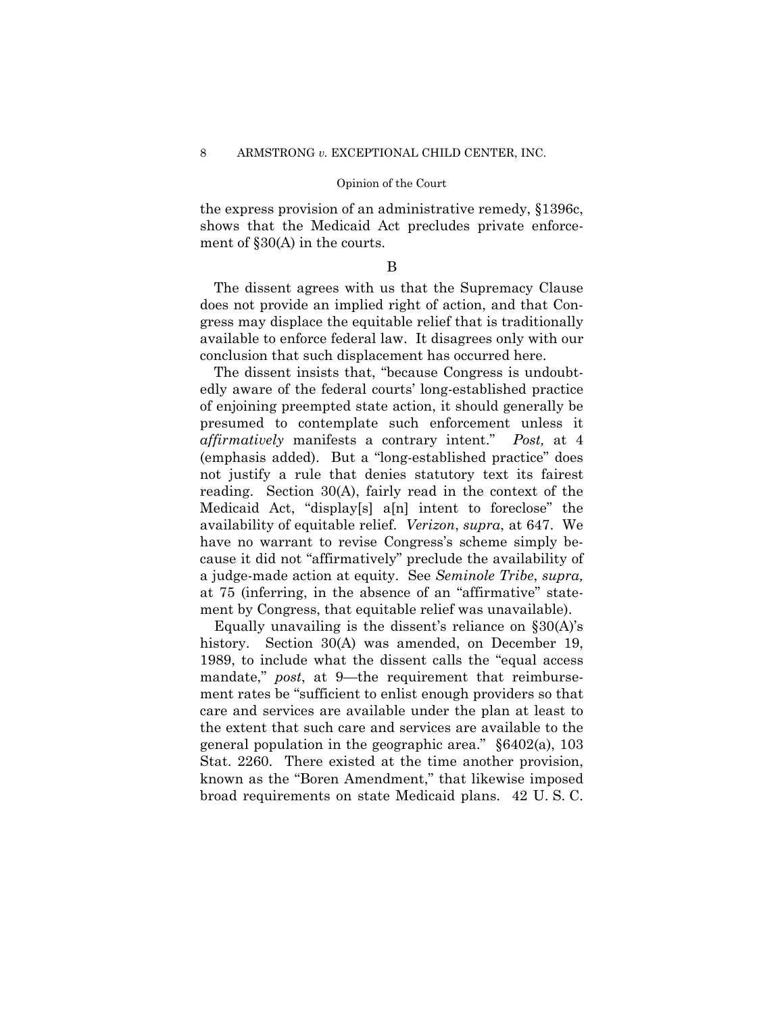the express provision of an administrative remedy, §1396c, shows that the Medicaid Act precludes private enforcement of §30(A) in the courts.

## B

The dissent agrees with us that the Supremacy Clause does not provide an implied right of action, and that Congress may displace the equitable relief that is traditionally available to enforce federal law. It disagrees only with our conclusion that such displacement has occurred here.

 *affirmatively* manifests a contrary intent." *Post,* at 4 The dissent insists that, "because Congress is undoubtedly aware of the federal courts' long-established practice of enjoining preempted state action, it should generally be presumed to contemplate such enforcement unless it (emphasis added). But a "long-established practice" does not justify a rule that denies statutory text its fairest reading. Section 30(A), fairly read in the context of the Medicaid Act, "display[s] a[n] intent to foreclose" the availability of equitable relief. *Verizon*, *supra*, at 647. We have no warrant to revise Congress's scheme simply because it did not "affirmatively" preclude the availability of a judge-made action at equity. See *Seminole Tribe*, *supra,* at 75 (inferring, in the absence of an "affirmative" statement by Congress, that equitable relief was unavailable).

Equally unavailing is the dissent's reliance on §30(A)'s history. Section 30(A) was amended, on December 19, 1989, to include what the dissent calls the "equal access mandate," *post*, at 9—the requirement that reimbursement rates be "sufficient to enlist enough providers so that care and services are available under the plan at least to the extent that such care and services are available to the general population in the geographic area." §6402(a), 103 Stat. 2260. There existed at the time another provision, known as the "Boren Amendment," that likewise imposed broad requirements on state Medicaid plans. 42 U. S. C.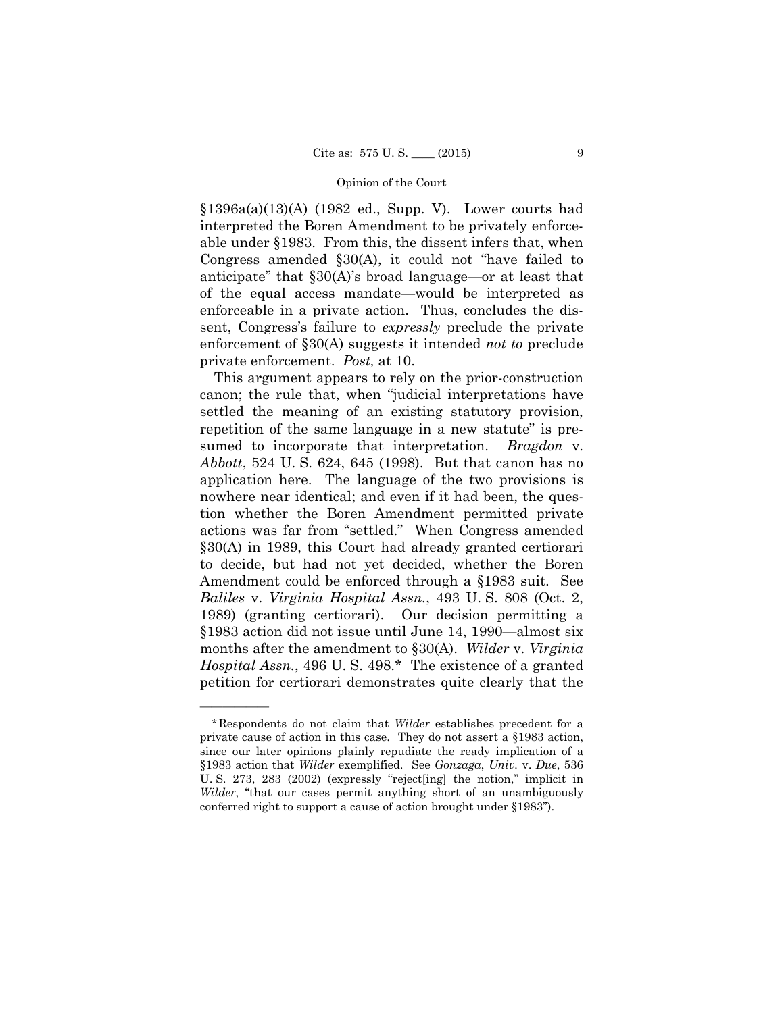$$1396a(a)(13)(A)$  (1982 ed., Supp. V). Lower courts had interpreted the Boren Amendment to be privately enforceable under §1983. From this, the dissent infers that, when Congress amended §30(A), it could not "have failed to anticipate" that §30(A)'s broad language—or at least that of the equal access mandate—would be interpreted as enforceable in a private action. Thus, concludes the dissent, Congress's failure to *expressly* preclude the private enforcement of §30(A) suggests it intended *not to* preclude private enforcement. *Post,* at 10.

This argument appears to rely on the prior-construction canon; the rule that, when "judicial interpretations have settled the meaning of an existing statutory provision, repetition of the same language in a new statute" is presumed to incorporate that interpretation. *Bragdon* v. *Abbott*, 524 U. S. 624, 645 (1998). But that canon has no application here. The language of the two provisions is nowhere near identical; and even if it had been, the question whether the Boren Amendment permitted private actions was far from "settled." When Congress amended §30(A) in 1989, this Court had already granted certiorari to decide, but had not yet decided, whether the Boren Amendment could be enforced through a §1983 suit. See *Baliles* v. *Virginia Hospital Assn.*, 493 U. S. 808 (Oct. 2, 1989) (granting certiorari). Our decision permitting a §1983 action did not issue until June 14, 1990—almost six months after the amendment to §30(A). *Wilder* v. *Virginia Hospital Assn.*, 496 U. S. 498.\* The existence of a granted petition for certiorari demonstrates quite clearly that the

——————

<sup>\*</sup>Respondents do not claim that *Wilder* establishes precedent for a private cause of action in this case. They do not assert a §1983 action, since our later opinions plainly repudiate the ready implication of a §1983 action that *Wilder* exemplified. See *Gonzaga*, *Univ.* v. *Due*, 536 U. S. 273, 283 (2002) (expressly "reject[ing] the notion," implicit in *Wilder*, "that our cases permit anything short of an unambiguously conferred right to support a cause of action brought under §1983").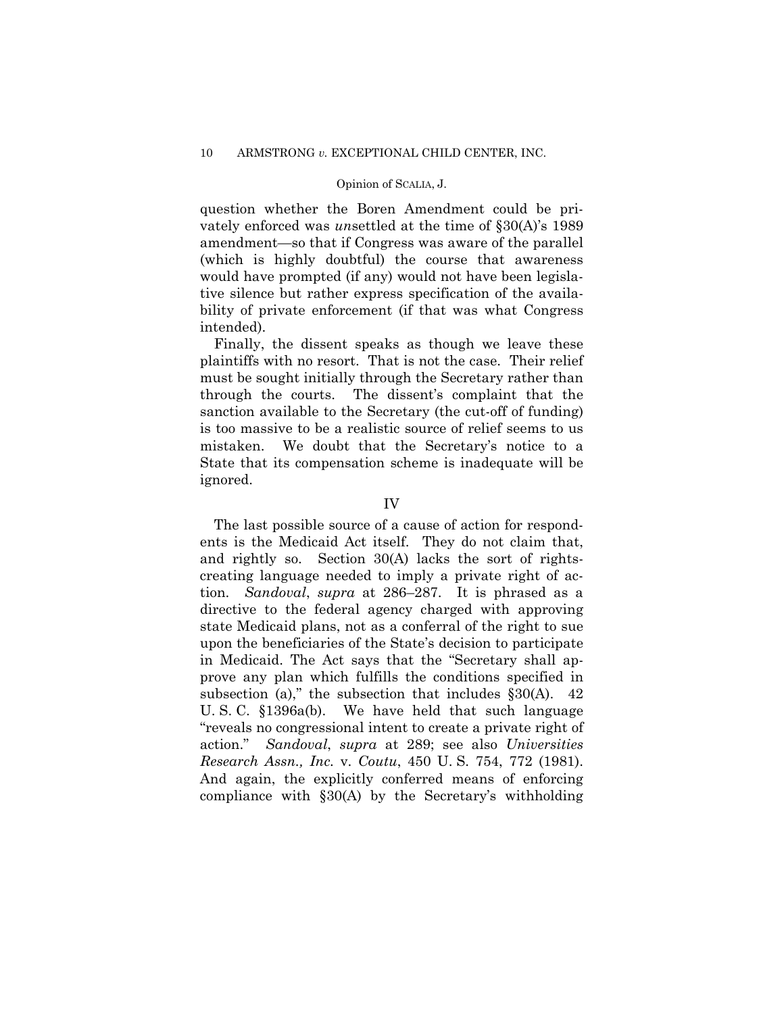#### Opinion of SCALIA, J.

question whether the Boren Amendment could be privately enforced was *un*settled at the time of §30(A)'s 1989 amendment—so that if Congress was aware of the parallel (which is highly doubtful) the course that awareness would have prompted (if any) would not have been legislative silence but rather express specification of the availability of private enforcement (if that was what Congress intended).

Finally, the dissent speaks as though we leave these plaintiffs with no resort. That is not the case. Their relief must be sought initially through the Secretary rather than through the courts. The dissent's complaint that the sanction available to the Secretary (the cut-off of funding) is too massive to be a realistic source of relief seems to us mistaken. We doubt that the Secretary's notice to a State that its compensation scheme is inadequate will be ignored.

#### IV

The last possible source of a cause of action for respondents is the Medicaid Act itself. They do not claim that, and rightly so. Section 30(A) lacks the sort of rightscreating language needed to imply a private right of action. *Sandoval*, *supra* at 286–287. It is phrased as a directive to the federal agency charged with approving state Medicaid plans, not as a conferral of the right to sue upon the beneficiaries of the State's decision to participate in Medicaid. The Act says that the "Secretary shall approve any plan which fulfills the conditions specified in subsection (a)," the subsection that includes  $\S 30(A)$ . 42 U. S. C. §1396a(b). We have held that such language "reveals no congressional intent to create a private right of action." *Sandoval*, *supra* at 289; see also *Universities Research Assn., Inc.* v. *Coutu*, 450 U. S. 754, 772 (1981). And again, the explicitly conferred means of enforcing compliance with §30(A) by the Secretary's withholding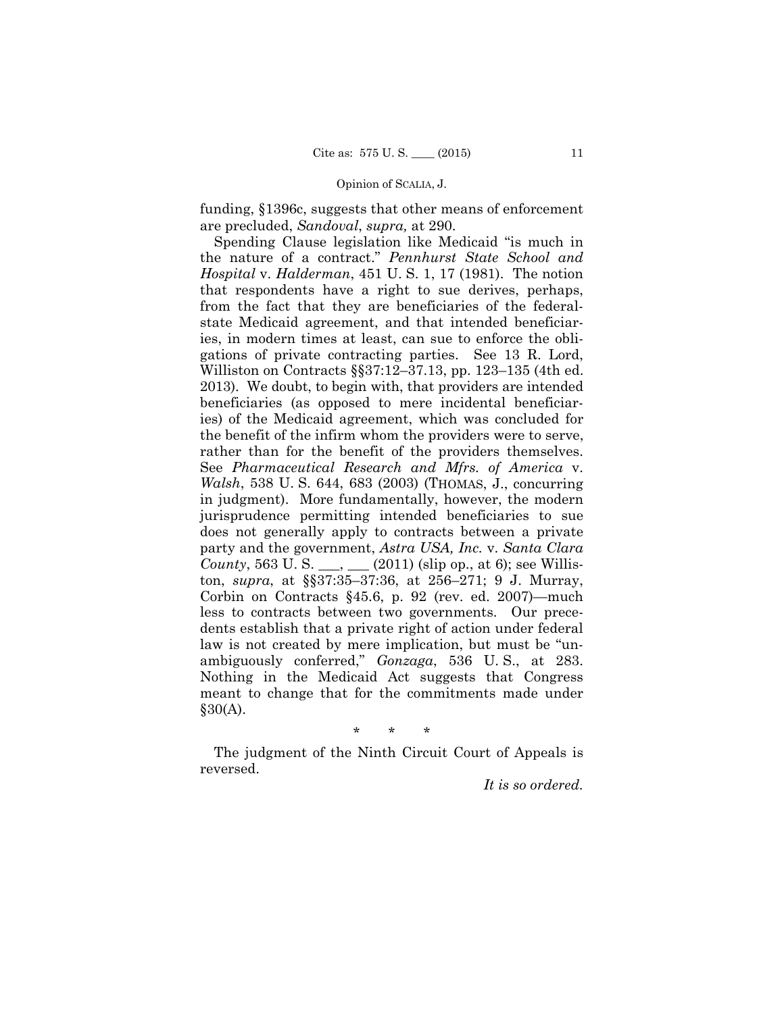#### Opinion of SCALIA, J.

funding, §1396c, suggests that other means of enforcement are precluded, *Sandoval*, *supra,* at 290.

 2013). We doubt, to begin with, that providers are intended Spending Clause legislation like Medicaid "is much in the nature of a contract." *Pennhurst State School and Hospital* v. *Halderman*, 451 U. S. 1, 17 (1981). The notion that respondents have a right to sue derives, perhaps, from the fact that they are beneficiaries of the federalstate Medicaid agreement, and that intended beneficiaries, in modern times at least, can sue to enforce the obligations of private contracting parties. See 13 R. Lord, Williston on Contracts §§37:12–37.13, pp. 123–135 (4th ed. beneficiaries (as opposed to mere incidental beneficiaries) of the Medicaid agreement, which was concluded for the benefit of the infirm whom the providers were to serve, rather than for the benefit of the providers themselves. See *Pharmaceutical Research and Mfrs. of America* v. *Walsh*, 538 U. S. 644, 683 (2003) (THOMAS, J., concurring in judgment). More fundamentally, however, the modern jurisprudence permitting intended beneficiaries to sue does not generally apply to contracts between a private party and the government, *Astra USA, Inc.* v. *Santa Clara County*, 563 U. S.  $\_\_\_\_\_\_\_\_\_$  (2011) (slip op., at 6); see Williston, *supra*, at §§37:35–37:36, at 256–271; 9 J. Murray, Corbin on Contracts §45.6, p. 92 (rev. ed. 2007)—much less to contracts between two governments. Our precedents establish that a private right of action under federal law is not created by mere implication, but must be "unambiguously conferred," *Gonzaga*, 536 U. S., at 283. Nothing in the Medicaid Act suggests that Congress meant to change that for the commitments made under  $§30(A).$ 

\* \* \*

The judgment of the Ninth Circuit Court of Appeals is reversed.

*It is so ordered.*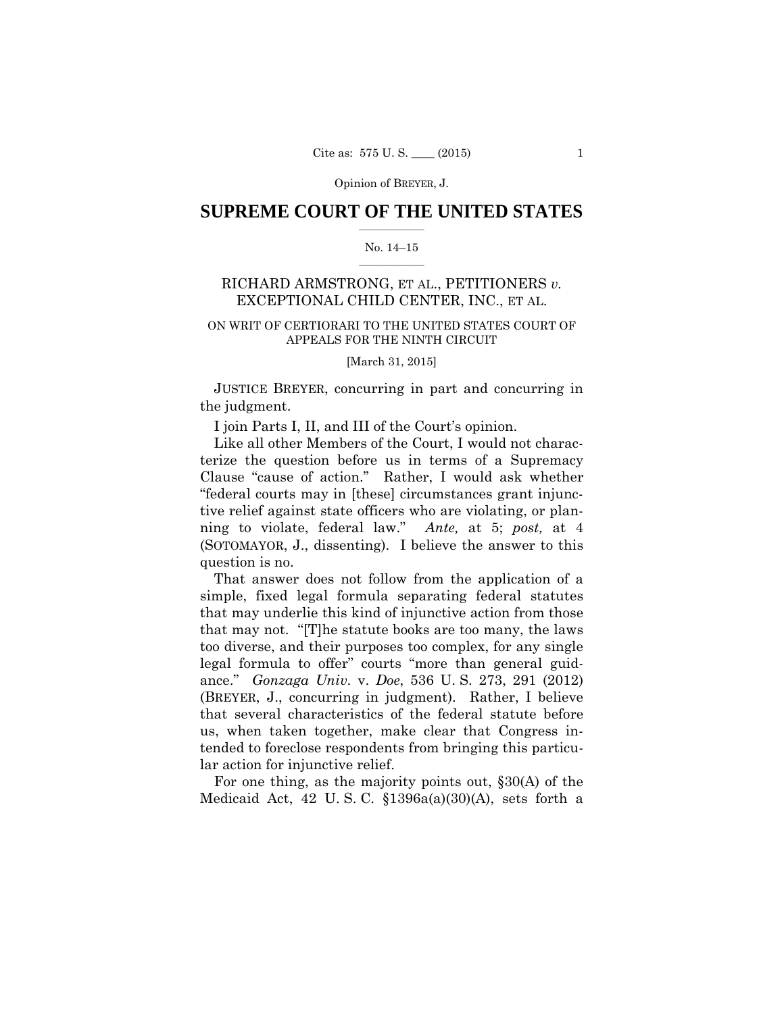### $\frac{1}{2}$  ,  $\frac{1}{2}$  ,  $\frac{1}{2}$  ,  $\frac{1}{2}$  ,  $\frac{1}{2}$  ,  $\frac{1}{2}$  ,  $\frac{1}{2}$ **SUPREME COURT OF THE UNITED STATES**

#### $\frac{1}{2}$  ,  $\frac{1}{2}$  ,  $\frac{1}{2}$  ,  $\frac{1}{2}$  ,  $\frac{1}{2}$  ,  $\frac{1}{2}$ No. 14–15

## RICHARD ARMSTRONG, ET AL., PETITIONERS *v.* EXCEPTIONAL CHILD CENTER, INC., ET AL.

## ON WRIT OF CERTIORARI TO THE UNITED STATES COURT OF APPEALS FOR THE NINTH CIRCUIT

[March 31, 2015]

 JUSTICE BREYER, concurring in part and concurring in the judgment.

I join Parts I, II, and III of the Court's opinion.

Like all other Members of the Court, I would not characterize the question before us in terms of a Supremacy Clause "cause of action." Rather, I would ask whether "federal courts may in [these] circumstances grant injunctive relief against state officers who are violating, or planning to violate, federal law." *Ante,* at 5; *post,* at 4 (SOTOMAYOR, J., dissenting). I believe the answer to this question is no.

That answer does not follow from the application of a simple, fixed legal formula separating federal statutes that may underlie this kind of injunctive action from those that may not. "[T]he statute books are too many, the laws too diverse, and their purposes too complex, for any single legal formula to offer" courts "more than general guidance." *Gonzaga Univ.* v. *Doe*, 536 U. S. 273, 291 (2012) (BREYER, J., concurring in judgment). Rather, I believe that several characteristics of the federal statute before us, when taken together, make clear that Congress intended to foreclose respondents from bringing this particular action for injunctive relief.

For one thing, as the majority points out, §30(A) of the Medicaid Act, 42 U.S.C.  $$1396a(a)(30)(A)$ , sets forth a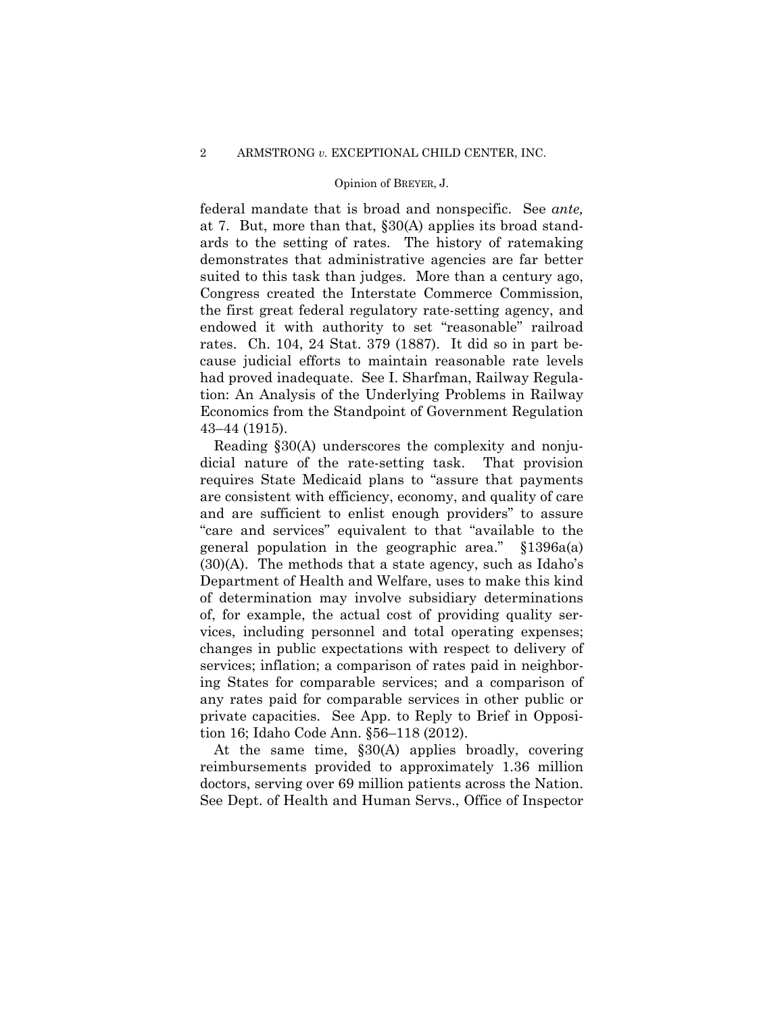federal mandate that is broad and nonspecific. See *ante,*  at 7. But, more than that, §30(A) applies its broad standards to the setting of rates. The history of ratemaking demonstrates that administrative agencies are far better suited to this task than judges. More than a century ago, Congress created the Interstate Commerce Commission, the first great federal regulatory rate-setting agency, and endowed it with authority to set "reasonable" railroad rates. Ch. 104, 24 Stat. 379 (1887). It did so in part because judicial efforts to maintain reasonable rate levels had proved inadequate. See I. Sharfman, Railway Regulation: An Analysis of the Underlying Problems in Railway Economics from the Standpoint of Government Regulation 43–44 (1915).

Reading §30(A) underscores the complexity and nonjudicial nature of the rate-setting task. That provision requires State Medicaid plans to "assure that payments are consistent with efficiency, economy, and quality of care and are sufficient to enlist enough providers" to assure "care and services" equivalent to that "available to the general population in the geographic area." §1396a(a) (30)(A). The methods that a state agency, such as Idaho's Department of Health and Welfare, uses to make this kind of determination may involve subsidiary determinations of, for example, the actual cost of providing quality services, including personnel and total operating expenses; changes in public expectations with respect to delivery of services; inflation; a comparison of rates paid in neighboring States for comparable services; and a comparison of any rates paid for comparable services in other public or private capacities. See App. to Reply to Brief in Opposition 16; Idaho Code Ann. §56–118 (2012).

 doctors, serving over 69 million patients across the Nation. At the same time, §30(A) applies broadly, covering reimbursements provided to approximately 1.36 million See Dept. of Health and Human Servs., Office of Inspector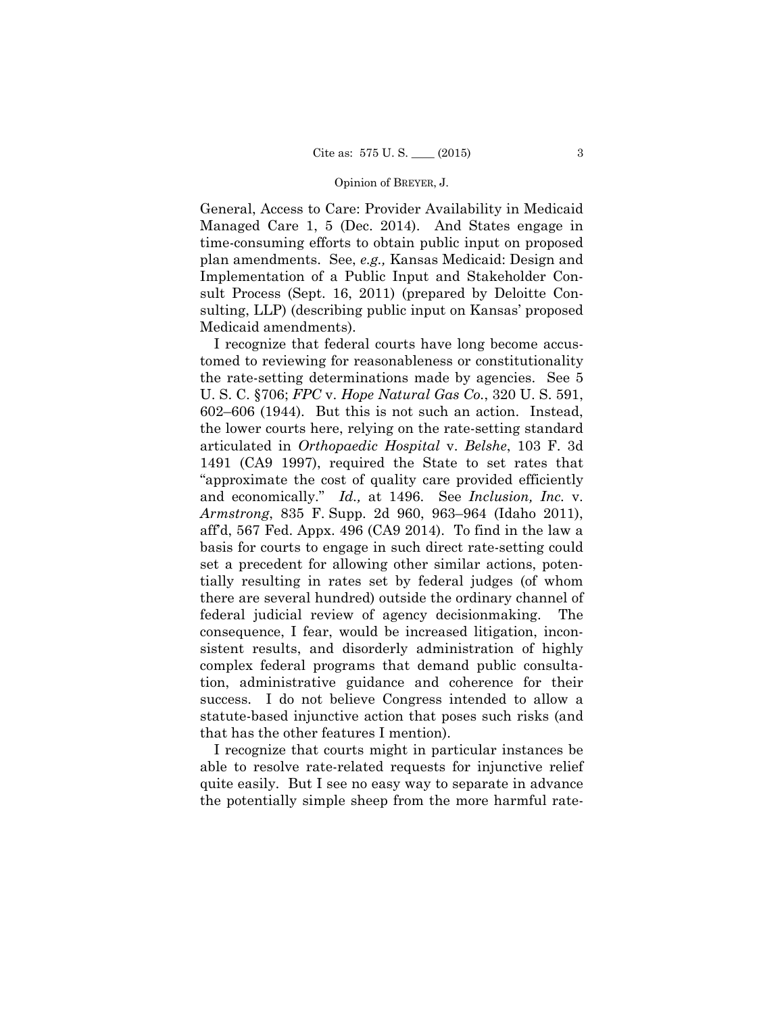General, Access to Care: Provider Availability in Medicaid Managed Care 1, 5 (Dec. 2014). And States engage in time-consuming efforts to obtain public input on proposed plan amendments. See, *e.g.,* Kansas Medicaid: Design and Implementation of a Public Input and Stakeholder Consult Process (Sept. 16, 2011) (prepared by Deloitte Consulting, LLP) (describing public input on Kansas' proposed Medicaid amendments).

I recognize that federal courts have long become accustomed to reviewing for reasonableness or constitutionality the rate-setting determinations made by agencies. See 5 U. S. C. §706; *FPC* v. *Hope Natural Gas Co.*, 320 U. S. 591, 602–606 (1944). But this is not such an action. Instead, the lower courts here, relying on the rate-setting standard articulated in *Orthopaedic Hospital* v. *Belshe*, 103 F. 3d 1491 (CA9 1997), required the State to set rates that "approximate the cost of quality care provided efficiently and economically." *Id.,* at 1496. See *Inclusion, Inc.* v. *Armstrong*, 835 F. Supp. 2d 960, 963–964 (Idaho 2011), aff'd, 567 Fed. Appx. 496 (CA9 2014). To find in the law a basis for courts to engage in such direct rate-setting could set a precedent for allowing other similar actions, potentially resulting in rates set by federal judges (of whom there are several hundred) outside the ordinary channel of federal judicial review of agency decisionmaking. The consequence, I fear, would be increased litigation, inconsistent results, and disorderly administration of highly complex federal programs that demand public consultation, administrative guidance and coherence for their success. I do not believe Congress intended to allow a statute-based injunctive action that poses such risks (and that has the other features I mention).

I recognize that courts might in particular instances be able to resolve rate-related requests for injunctive relief quite easily. But I see no easy way to separate in advance the potentially simple sheep from the more harmful rate-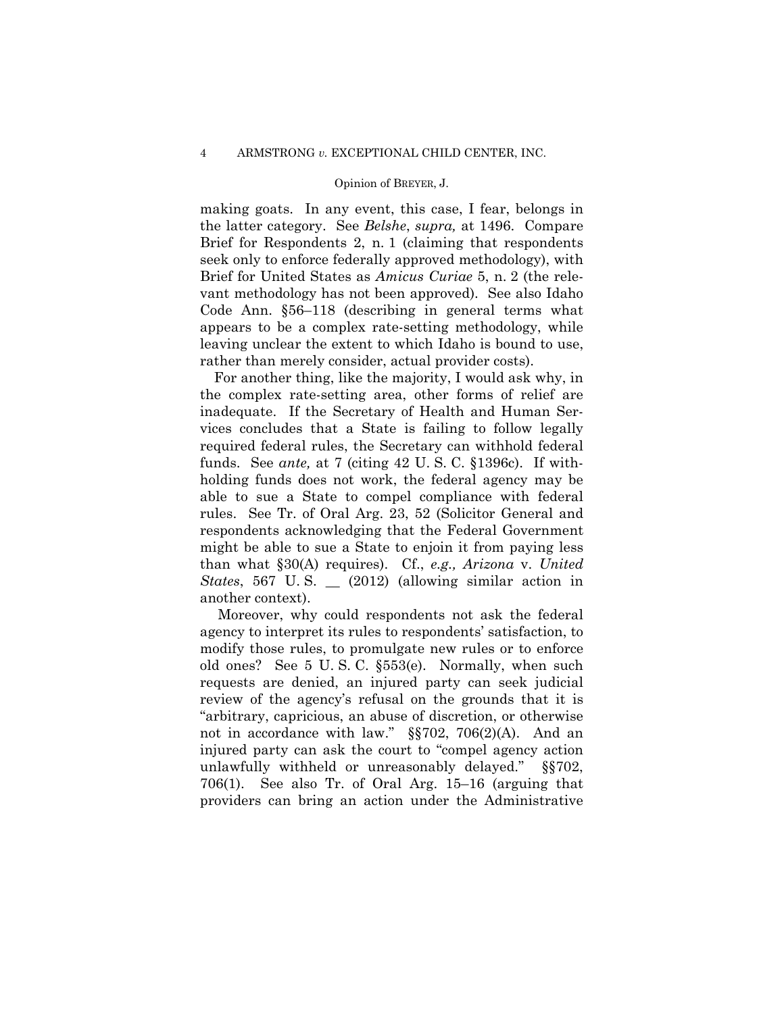making goats. In any event, this case, I fear, belongs in the latter category. See *Belshe*, *supra,* at 1496. Compare Brief for Respondents 2, n. 1 (claiming that respondents seek only to enforce federally approved methodology), with Brief for United States as *Amicus Curiae* 5, n. 2 (the relevant methodology has not been approved). See also Idaho Code Ann. §56–118 (describing in general terms what appears to be a complex rate-setting methodology, while leaving unclear the extent to which Idaho is bound to use, rather than merely consider, actual provider costs).

For another thing, like the majority, I would ask why, in the complex rate-setting area, other forms of relief are inadequate. If the Secretary of Health and Human Services concludes that a State is failing to follow legally required federal rules, the Secretary can withhold federal funds. See *ante,* at 7 (citing 42 U. S. C. §1396c). If withholding funds does not work, the federal agency may be able to sue a State to compel compliance with federal rules. See Tr. of Oral Arg. 23, 52 (Solicitor General and respondents acknowledging that the Federal Government might be able to sue a State to enjoin it from paying less than what §30(A) requires). Cf., *e.g., Arizona* v. *United States*, 567 U. S. \_\_ (2012) (allowing similar action in another context).

Moreover, why could respondents not ask the federal agency to interpret its rules to respondents' satisfaction, to modify those rules, to promulgate new rules or to enforce old ones? See 5 U. S. C. §553(e). Normally, when such requests are denied, an injured party can seek judicial review of the agency's refusal on the grounds that it is "arbitrary, capricious, an abuse of discretion, or otherwise not in accordance with law." §§702, 706(2)(A). And an injured party can ask the court to "compel agency action unlawfully withheld or unreasonably delayed." §§702, 706(1). See also Tr. of Oral Arg. 15–16 (arguing that providers can bring an action under the Administrative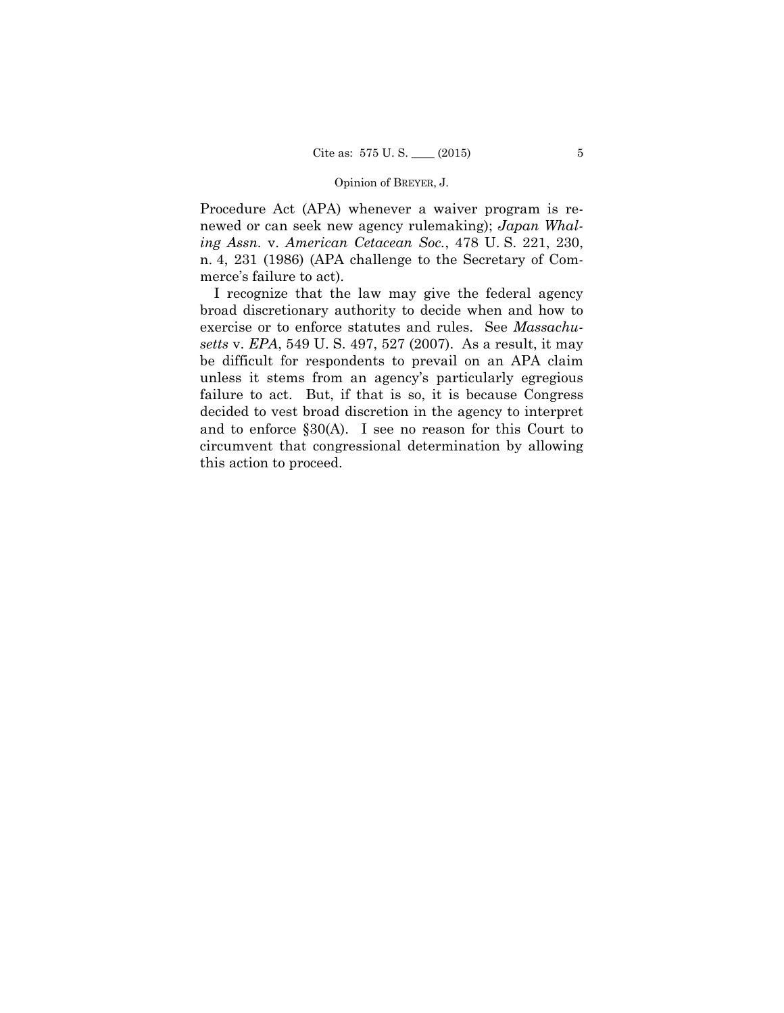Procedure Act (APA) whenever a waiver program is renewed or can seek new agency rulemaking); *Japan Whaling Assn.* v. *American Cetacean Soc.*, 478 U. S. 221, 230, n. 4, 231 (1986) (APA challenge to the Secretary of Commerce's failure to act).

I recognize that the law may give the federal agency broad discretionary authority to decide when and how to exercise or to enforce statutes and rules. See *Massachusetts* v. *EPA*, 549 U. S. 497, 527 (2007). As a result, it may be difficult for respondents to prevail on an APA claim unless it stems from an agency's particularly egregious failure to act. But, if that is so, it is because Congress decided to vest broad discretion in the agency to interpret and to enforce §30(A). I see no reason for this Court to circumvent that congressional determination by allowing this action to proceed.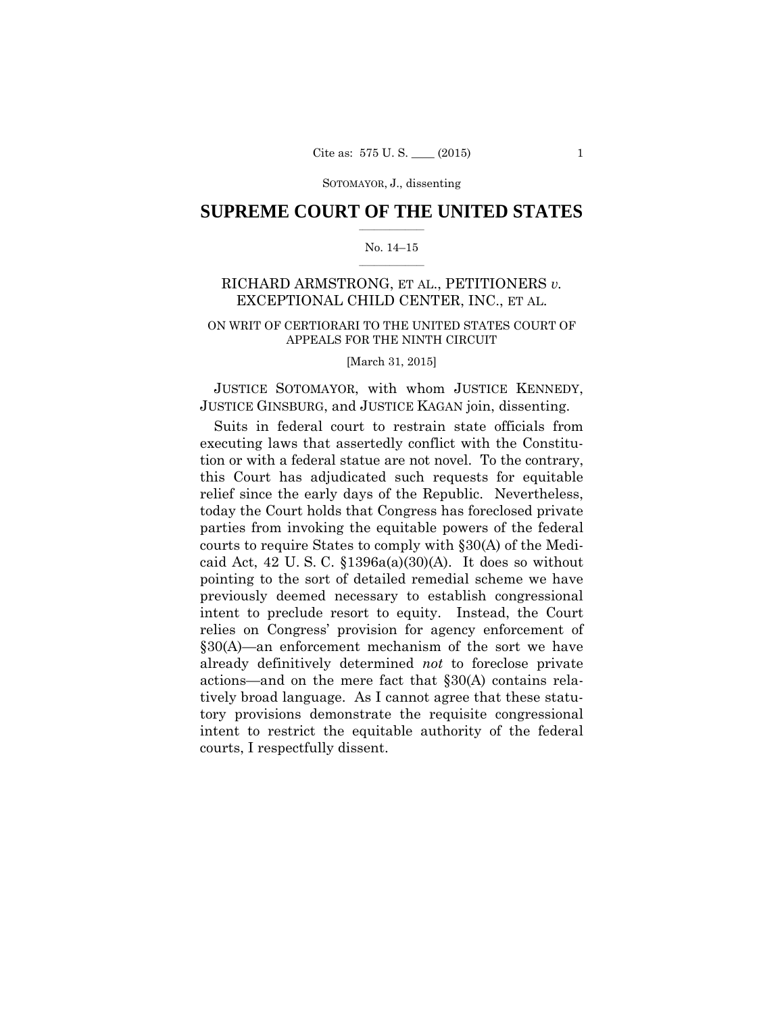## $\frac{1}{2}$  ,  $\frac{1}{2}$  ,  $\frac{1}{2}$  ,  $\frac{1}{2}$  ,  $\frac{1}{2}$  ,  $\frac{1}{2}$  ,  $\frac{1}{2}$ **SUPREME COURT OF THE UNITED STATES**

#### $\frac{1}{2}$  ,  $\frac{1}{2}$  ,  $\frac{1}{2}$  ,  $\frac{1}{2}$  ,  $\frac{1}{2}$  ,  $\frac{1}{2}$ No. 14–15

## RICHARD ARMSTRONG, ET AL., PETITIONERS *v.* EXCEPTIONAL CHILD CENTER, INC., ET AL.

## ON WRIT OF CERTIORARI TO THE UNITED STATES COURT OF APPEALS FOR THE NINTH CIRCUIT

[March 31, 2015]

 JUSTICE SOTOMAYOR, with whom JUSTICE KENNEDY, JUSTICE GINSBURG, and JUSTICE KAGAN join, dissenting.

Suits in federal court to restrain state officials from executing laws that assertedly conflict with the Constitution or with a federal statue are not novel. To the contrary, this Court has adjudicated such requests for equitable relief since the early days of the Republic. Nevertheless, today the Court holds that Congress has foreclosed private parties from invoking the equitable powers of the federal courts to require States to comply with §30(A) of the Medicaid Act, 42 U.S.C.  $$1396a(a)(30)(A)$ . It does so without pointing to the sort of detailed remedial scheme we have previously deemed necessary to establish congressional intent to preclude resort to equity. Instead, the Court relies on Congress' provision for agency enforcement of §30(A)—an enforcement mechanism of the sort we have already definitively determined *not* to foreclose private actions—and on the mere fact that §30(A) contains relatively broad language. As I cannot agree that these statutory provisions demonstrate the requisite congressional intent to restrict the equitable authority of the federal courts, I respectfully dissent.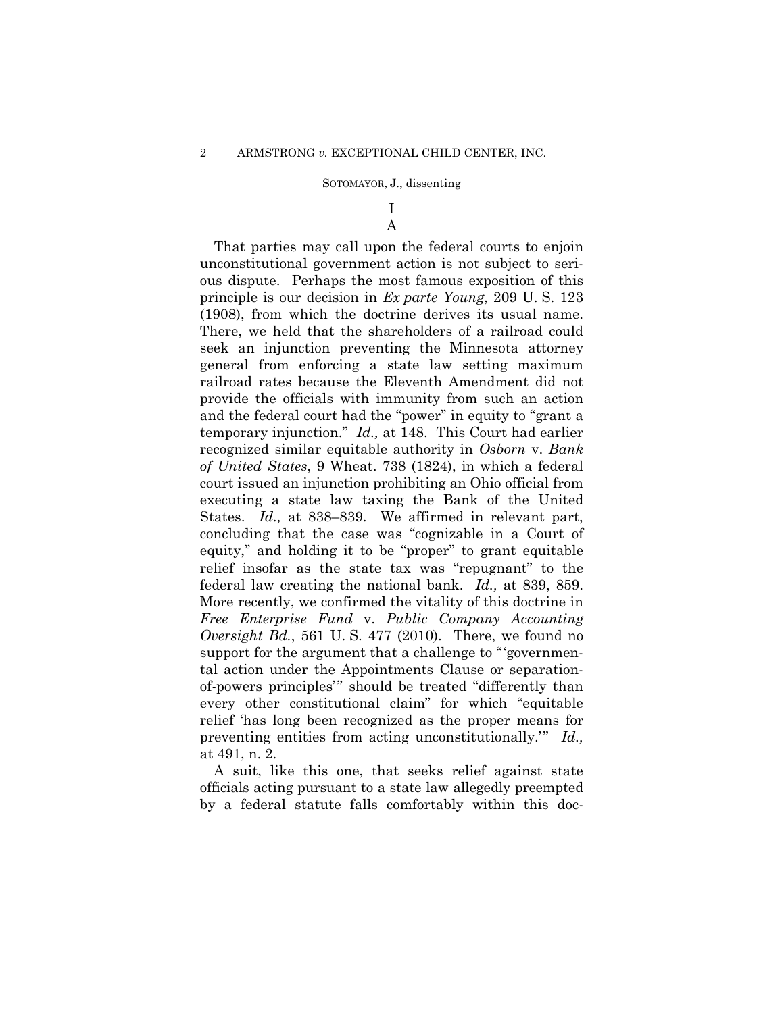### I A

 federal law creating the national bank. *Id.,* at 839, 859. More recently, we confirmed the vitality of this doctrine in That parties may call upon the federal courts to enjoin unconstitutional government action is not subject to serious dispute. Perhaps the most famous exposition of this principle is our decision in *Ex parte Young*, 209 U. S. 123 (1908), from which the doctrine derives its usual name. There, we held that the shareholders of a railroad could seek an injunction preventing the Minnesota attorney general from enforcing a state law setting maximum railroad rates because the Eleventh Amendment did not provide the officials with immunity from such an action and the federal court had the "power" in equity to "grant a temporary injunction." *Id.,* at 148. This Court had earlier recognized similar equitable authority in *Osborn* v. *Bank of United States*, 9 Wheat. 738 (1824), in which a federal court issued an injunction prohibiting an Ohio official from executing a state law taxing the Bank of the United States. *Id.,* at 838–839. We affirmed in relevant part, concluding that the case was "cognizable in a Court of equity," and holding it to be "proper" to grant equitable relief insofar as the state tax was "repugnant" to the *Free Enterprise Fund* v. *Public Company Accounting Oversight Bd.*, 561 U. S. 477 (2010). There, we found no support for the argument that a challenge to "'governmental action under the Appointments Clause or separationof-powers principles'" should be treated "differently than every other constitutional claim" for which "equitable relief 'has long been recognized as the proper means for preventing entities from acting unconstitutionally.'" *Id.,*  at 491, n. 2.

A suit, like this one, that seeks relief against state officials acting pursuant to a state law allegedly preempted by a federal statute falls comfortably within this doc-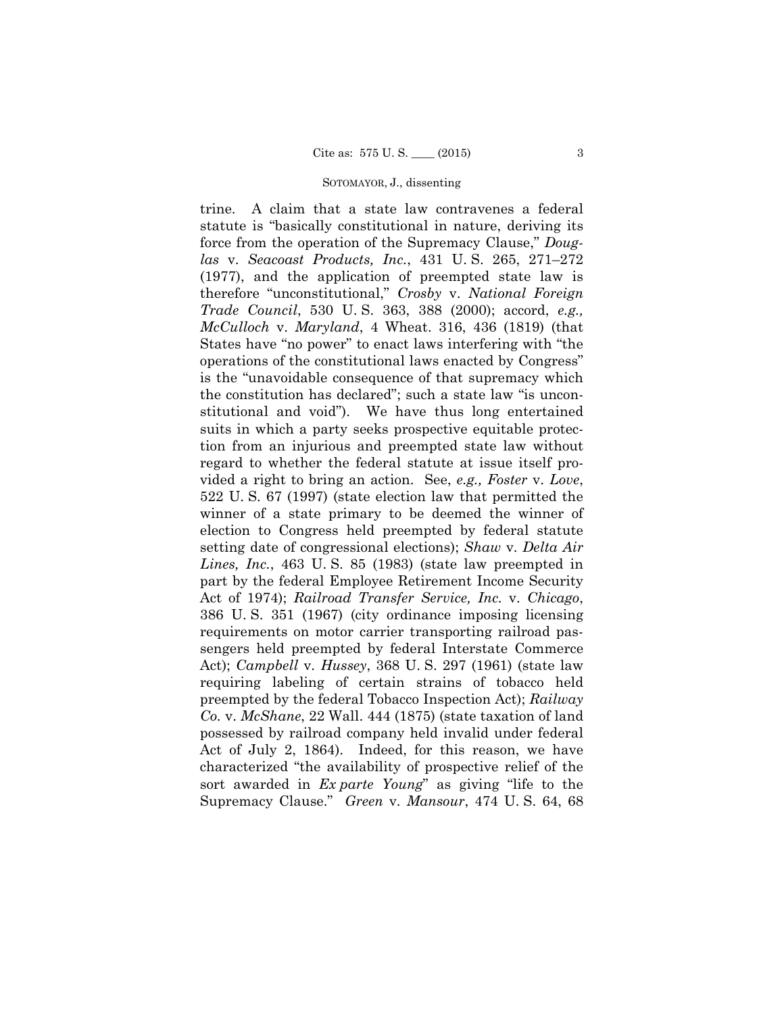trine. A claim that a state law contravenes a federal statute is "basically constitutional in nature, deriving its force from the operation of the Supremacy Clause," *Douglas* v. *Seacoast Products, Inc.*, 431 U. S. 265, 271–272 (1977), and the application of preempted state law is therefore "unconstitutional," *Crosby* v. *National Foreign Trade Council*, 530 U. S. 363, 388 (2000); accord, *e.g., McCulloch* v. *Maryland*, 4 Wheat. 316, 436 (1819) (that States have "no power" to enact laws interfering with "the operations of the constitutional laws enacted by Congress" is the "unavoidable consequence of that supremacy which the constitution has declared"; such a state law "is unconstitutional and void"). We have thus long entertained suits in which a party seeks prospective equitable protection from an injurious and preempted state law without regard to whether the federal statute at issue itself provided a right to bring an action. See, *e.g., Foster* v. *Love*, 522 U. S. 67 (1997) (state election law that permitted the winner of a state primary to be deemed the winner of election to Congress held preempted by federal statute setting date of congressional elections); *Shaw* v. *Delta Air Lines, Inc.*, 463 U. S. 85 (1983) (state law preempted in part by the federal Employee Retirement Income Security Act of 1974); *Railroad Transfer Service, Inc.* v. *Chicago*, 386 U. S. 351 (1967) (city ordinance imposing licensing requirements on motor carrier transporting railroad passengers held preempted by federal Interstate Commerce Act); *Campbell* v. *Hussey*, 368 U. S. 297 (1961) (state law requiring labeling of certain strains of tobacco held preempted by the federal Tobacco Inspection Act); *Railway Co.* v. *McShane*, 22 Wall. 444 (1875) (state taxation of land possessed by railroad company held invalid under federal Act of July 2, 1864). Indeed, for this reason, we have characterized "the availability of prospective relief of the sort awarded in *Ex parte Young*" as giving "life to the Supremacy Clause." *Green* v. *Mansour*, 474 U. S. 64, 68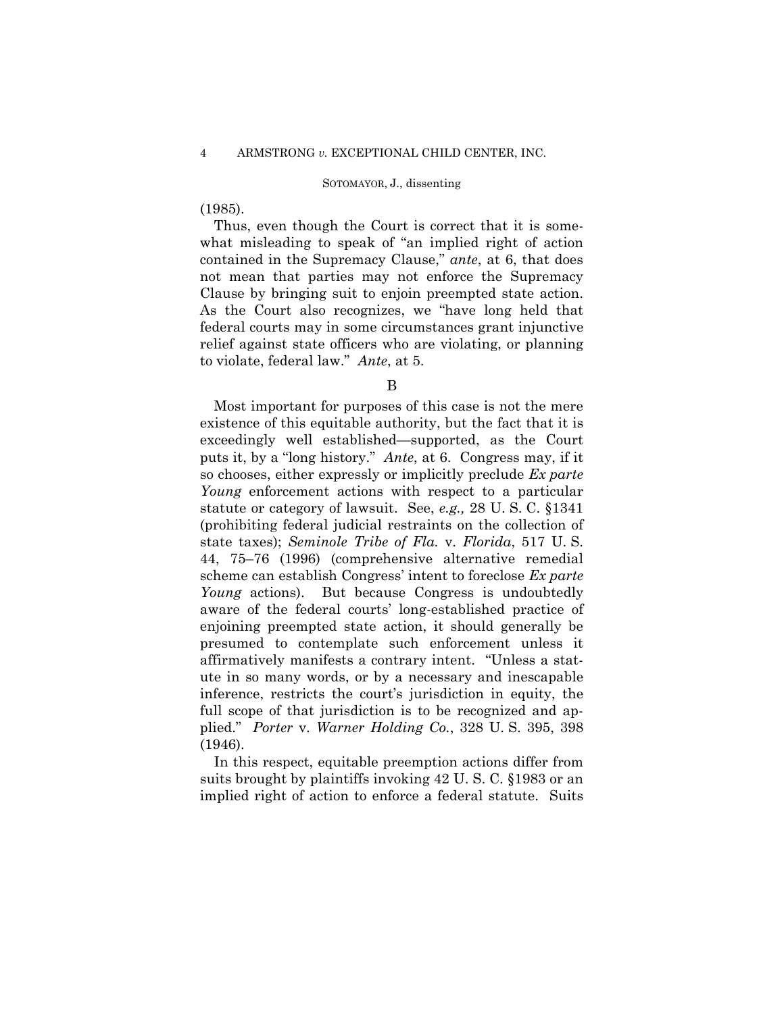## (1985).

 Clause by bringing suit to enjoin preempted state action. Thus, even though the Court is correct that it is somewhat misleading to speak of "an implied right of action contained in the Supremacy Clause," *ante*, at 6, that does not mean that parties may not enforce the Supremacy As the Court also recognizes, we "have long held that federal courts may in some circumstances grant injunctive relief against state officers who are violating, or planning to violate, federal law." *Ante*, at 5.

B

Most important for purposes of this case is not the mere existence of this equitable authority, but the fact that it is exceedingly well established—supported, as the Court puts it, by a "long history." *Ante*, at 6. Congress may, if it so chooses, either expressly or implicitly preclude *Ex parte Young* enforcement actions with respect to a particular statute or category of lawsuit. See, *e.g.,* 28 U. S. C. §1341 (prohibiting federal judicial restraints on the collection of state taxes); *Seminole Tribe of Fla.* v. *Florida*, 517 U. S. 44, 75–76 (1996) (comprehensive alternative remedial scheme can establish Congress' intent to foreclose *Ex parte Young* actions). But because Congress is undoubtedly aware of the federal courts' long-established practice of enjoining preempted state action, it should generally be presumed to contemplate such enforcement unless it affirmatively manifests a contrary intent. "Unless a statute in so many words, or by a necessary and inescapable inference, restricts the court's jurisdiction in equity, the full scope of that jurisdiction is to be recognized and applied." *Porter* v. *Warner Holding Co.*, 328 U. S. 395, 398 (1946).

In this respect, equitable preemption actions differ from suits brought by plaintiffs invoking 42 U. S. C. §1983 or an implied right of action to enforce a federal statute. Suits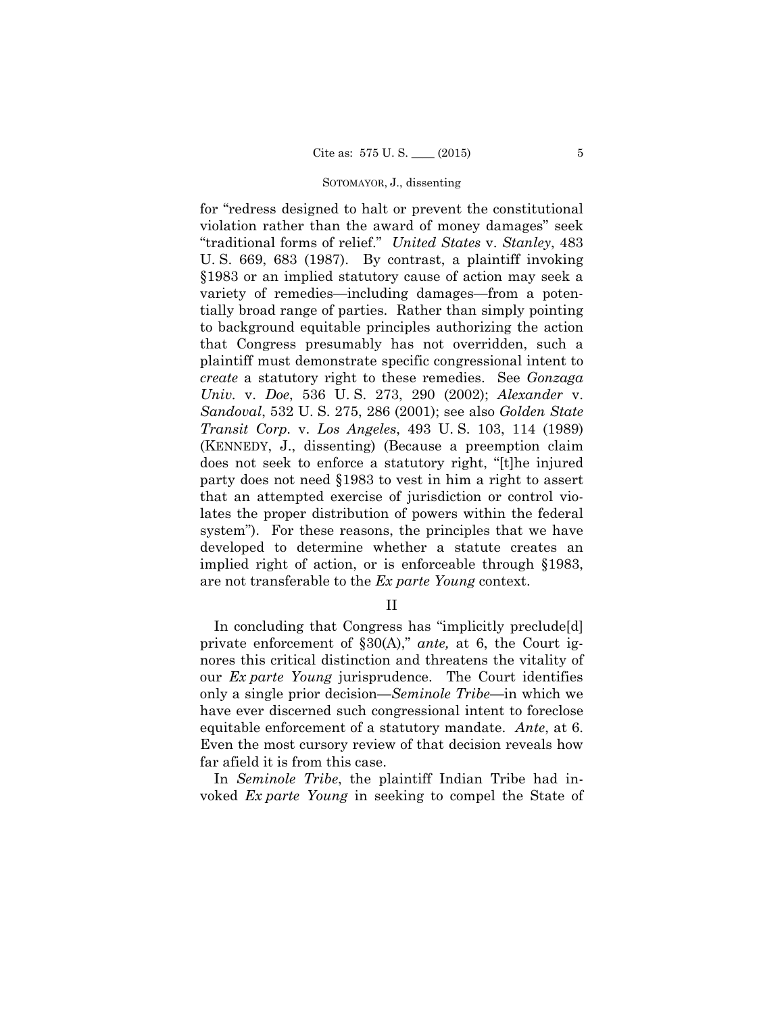for "redress designed to halt or prevent the constitutional violation rather than the award of money damages" seek "traditional forms of relief." *United States* v. *Stanley*, 483 U. S. 669, 683 (1987). By contrast, a plaintiff invoking §1983 or an implied statutory cause of action may seek a variety of remedies—including damages—from a potentially broad range of parties. Rather than simply pointing to background equitable principles authorizing the action that Congress presumably has not overridden, such a plaintiff must demonstrate specific congressional intent to *create* a statutory right to these remedies. See *Gonzaga Univ.* v. *Doe*, 536 U. S. 273, 290 (2002); *Alexander* v. *Sandoval*, 532 U. S. 275, 286 (2001); see also *Golden State Transit Corp.* v. *Los Angeles*, 493 U. S. 103, 114 (1989) (KENNEDY, J., dissenting) (Because a preemption claim does not seek to enforce a statutory right, "[t]he injured party does not need §1983 to vest in him a right to assert that an attempted exercise of jurisdiction or control violates the proper distribution of powers within the federal system"). For these reasons, the principles that we have developed to determine whether a statute creates an implied right of action, or is enforceable through §1983, are not transferable to the *Ex parte Young* context.

II

 equitable enforcement of a statutory mandate. *Ante*, at 6. In concluding that Congress has "implicitly preclude[d] private enforcement of §30(A)," *ante,* at 6, the Court ignores this critical distinction and threatens the vitality of our *Ex parte Young* jurisprudence. The Court identifies only a single prior decision—*Seminole Tribe*—in which we have ever discerned such congressional intent to foreclose Even the most cursory review of that decision reveals how far afield it is from this case.

In *Seminole Tribe*, the plaintiff Indian Tribe had invoked *Ex parte Young* in seeking to compel the State of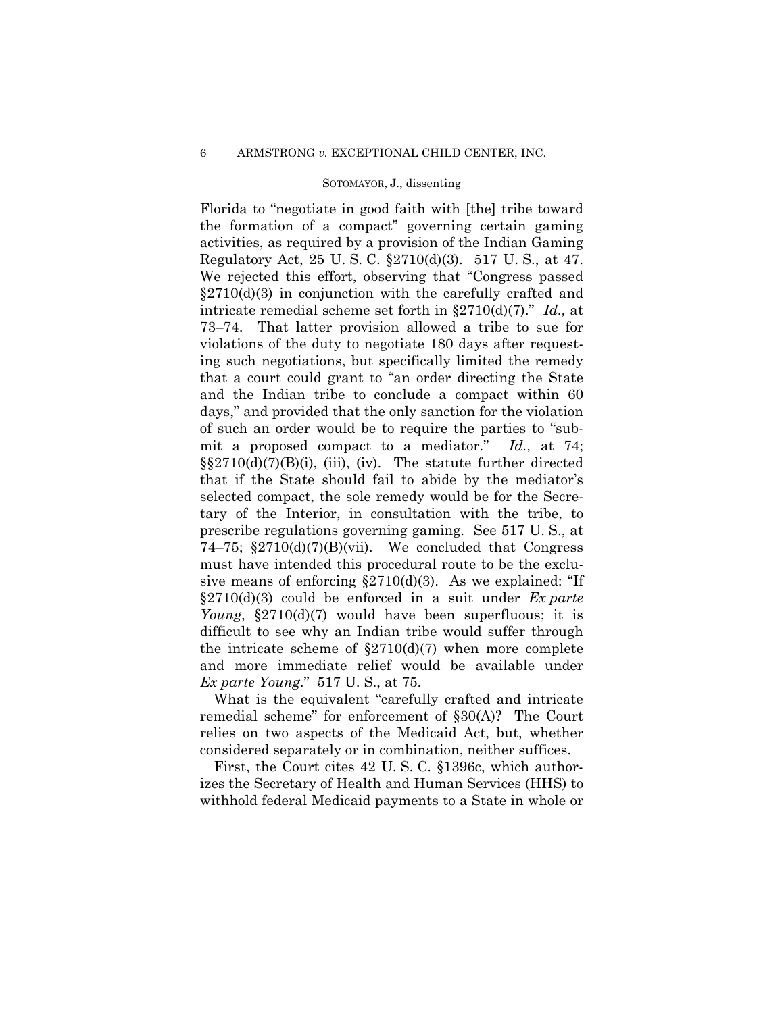Florida to "negotiate in good faith with [the] tribe toward the formation of a compact" governing certain gaming activities, as required by a provision of the Indian Gaming Regulatory Act, 25 U. S. C. §2710(d)(3). 517 U. S., at 47. We rejected this effort, observing that "Congress passed  $\S2710(d)(3)$  in conjunction with the carefully crafted and intricate remedial scheme set forth in §2710(d)(7)." *Id.,* at 73–74. That latter provision allowed a tribe to sue for violations of the duty to negotiate 180 days after requesting such negotiations, but specifically limited the remedy that a court could grant to "an order directing the State and the Indian tribe to conclude a compact within 60 days," and provided that the only sanction for the violation of such an order would be to require the parties to "submit a proposed compact to a mediator." *Id.,* at 74;  $\S2710(d)(7)(B)(i)$ , (iii), (iv). The statute further directed that if the State should fail to abide by the mediator's selected compact, the sole remedy would be for the Secretary of the Interior, in consultation with the tribe, to prescribe regulations governing gaming. See 517 U. S., at 74–75;  $$2710(d)(7)(B)(vii)$ . We concluded that Congress must have intended this procedural route to be the exclusive means of enforcing  $\S2710(d)(3)$ . As we explained: "If §2710(d)(3) could be enforced in a suit under *Ex parte Young*, §2710(d)(7) would have been superfluous; it is difficult to see why an Indian tribe would suffer through the intricate scheme of  $\S2710(d)(7)$  when more complete and more immediate relief would be available under *Ex parte Young*." 517 U. S., at 75.

What is the equivalent "carefully crafted and intricate remedial scheme" for enforcement of §30(A)? The Court relies on two aspects of the Medicaid Act, but, whether considered separately or in combination, neither suffices.

First, the Court cites 42 U. S. C. §1396c, which authorizes the Secretary of Health and Human Services (HHS) to withhold federal Medicaid payments to a State in whole or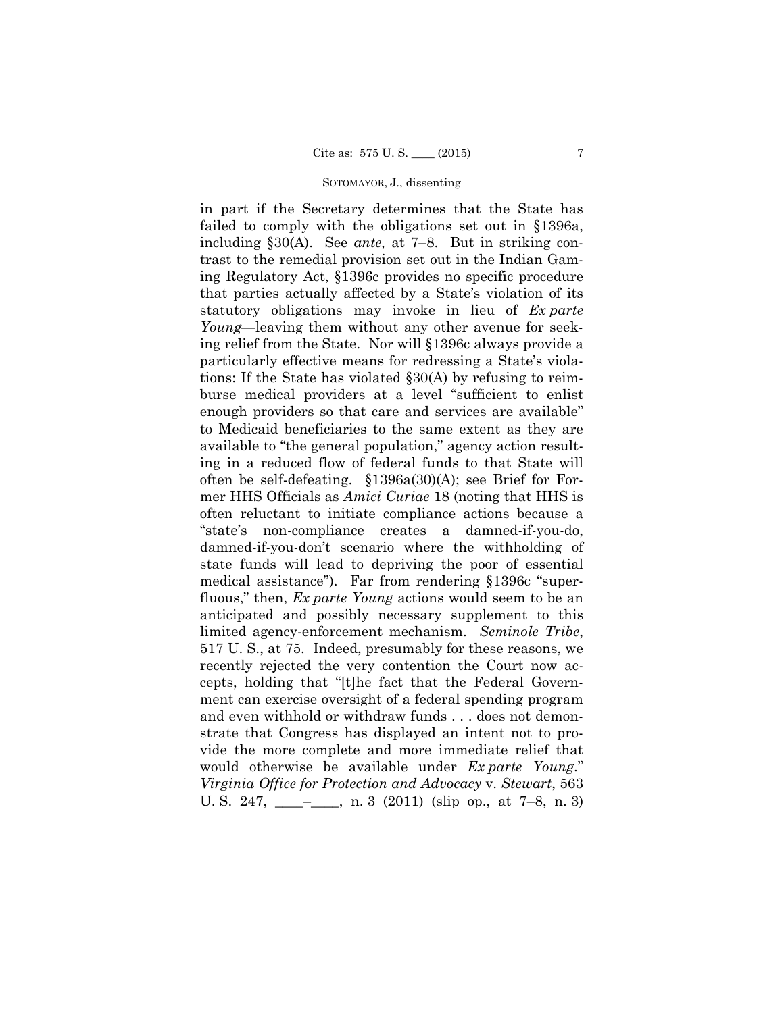in part if the Secretary determines that the State has failed to comply with the obligations set out in §1396a, including §30(A). See *ante,* at 7–8. But in striking contrast to the remedial provision set out in the Indian Gaming Regulatory Act, §1396c provides no specific procedure that parties actually affected by a State's violation of its statutory obligations may invoke in lieu of *Ex parte Young*—leaving them without any other avenue for seeking relief from the State. Nor will §1396c always provide a particularly effective means for redressing a State's violations: If the State has violated §30(A) by refusing to reimburse medical providers at a level "sufficient to enlist enough providers so that care and services are available" to Medicaid beneficiaries to the same extent as they are available to "the general population," agency action resulting in a reduced flow of federal funds to that State will often be self-defeating. §1396a(30)(A); see Brief for Former HHS Officials as *Amici Curiae* 18 (noting that HHS is often reluctant to initiate compliance actions because a "state's non-compliance creates a damned-if-you-do, damned-if-you-don't scenario where the withholding of state funds will lead to depriving the poor of essential medical assistance"). Far from rendering §1396c "superfluous," then, *Ex parte Young* actions would seem to be an anticipated and possibly necessary supplement to this limited agency-enforcement mechanism. *Seminole Tribe*, 517 U. S., at 75. Indeed, presumably for these reasons, we recently rejected the very contention the Court now accepts, holding that "[t]he fact that the Federal Government can exercise oversight of a federal spending program and even withhold or withdraw funds . . . does not demonstrate that Congress has displayed an intent not to provide the more complete and more immediate relief that would otherwise be available under *Ex parte Young*." *Virginia Office for Protection and Advocacy* v. *Stewart*, 563 U. S. 247, \_\_\_\_–\_\_\_\_, n. 3 (2011) (slip op., at 7–8, n. 3)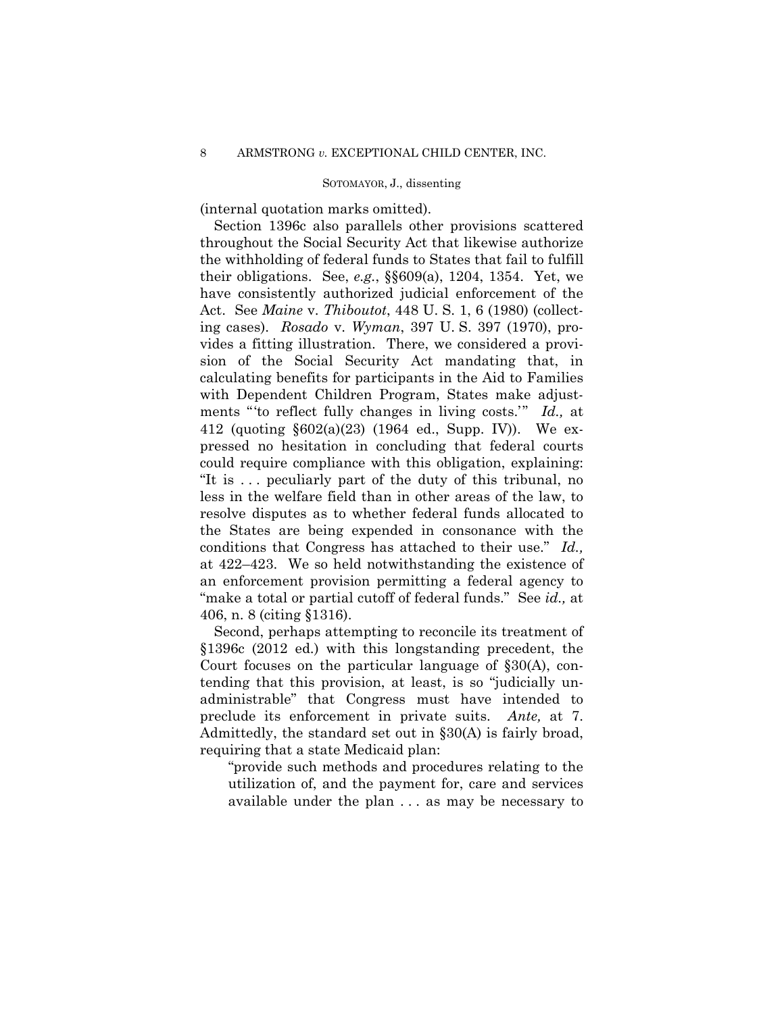(internal quotation marks omitted).

Section 1396c also parallels other provisions scattered throughout the Social Security Act that likewise authorize the withholding of federal funds to States that fail to fulfill their obligations. See, *e.g.*, §§609(a), 1204, 1354. Yet, we have consistently authorized judicial enforcement of the Act. See *Maine* v. *Thiboutot*, 448 U. S. 1, 6 (1980) (collecting cases). *Rosado* v. *Wyman*, 397 U. S. 397 (1970), provides a fitting illustration. There, we considered a provision of the Social Security Act mandating that, in calculating benefits for participants in the Aid to Families with Dependent Children Program, States make adjustments "'to reflect fully changes in living costs.'" *Id.,* at 412 (quoting §602(a)(23) (1964 ed., Supp. IV)). We expressed no hesitation in concluding that federal courts could require compliance with this obligation, explaining: "It is . . . peculiarly part of the duty of this tribunal, no less in the welfare field than in other areas of the law, to resolve disputes as to whether federal funds allocated to the States are being expended in consonance with the conditions that Congress has attached to their use." *Id.,*  at 422–423. We so held notwithstanding the existence of an enforcement provision permitting a federal agency to "make a total or partial cutoff of federal funds." See *id.,* at 406, n. 8 (citing §1316).

Second, perhaps attempting to reconcile its treatment of §1396c (2012 ed.) with this longstanding precedent, the Court focuses on the particular language of §30(A), contending that this provision, at least, is so "judicially unadministrable" that Congress must have intended to preclude its enforcement in private suits. *Ante,* at 7. Admittedly, the standard set out in §30(A) is fairly broad, requiring that a state Medicaid plan:

"provide such methods and procedures relating to the utilization of, and the payment for, care and services available under the plan . . . as may be necessary to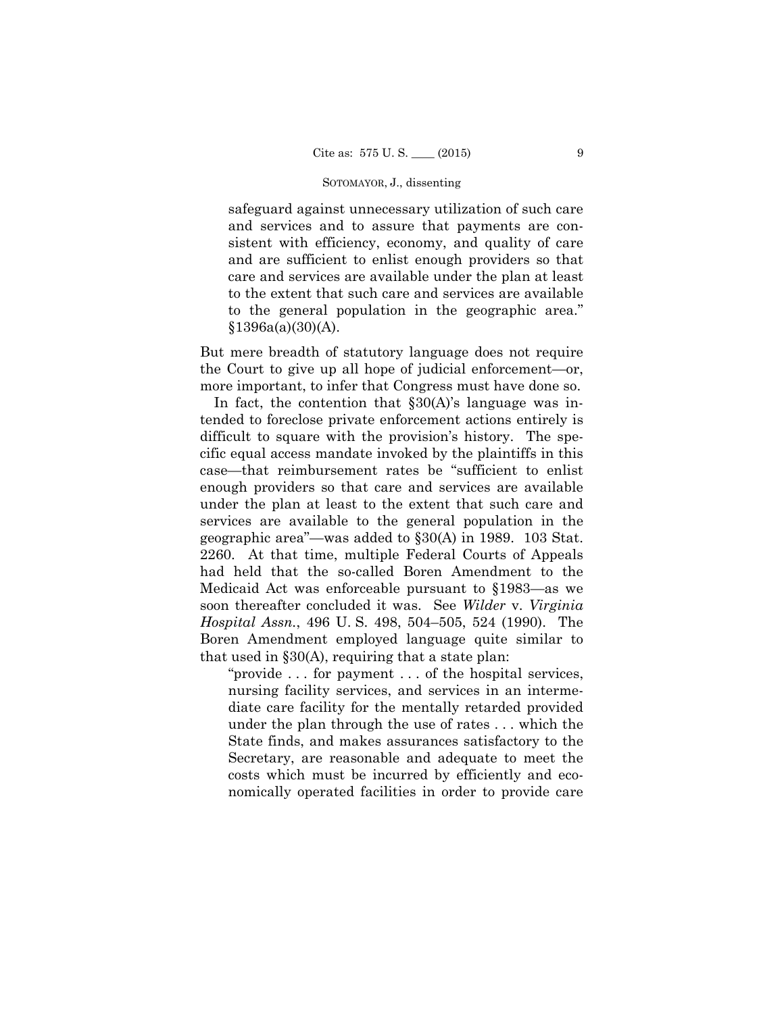safeguard against unnecessary utilization of such care and services and to assure that payments are consistent with efficiency, economy, and quality of care and are sufficient to enlist enough providers so that care and services are available under the plan at least to the extent that such care and services are available to the general population in the geographic area."  $§1396a(a)(30)(A).$ 

But mere breadth of statutory language does not require the Court to give up all hope of judicial enforcement—or, more important, to infer that Congress must have done so.

In fact, the contention that §30(A)'s language was intended to foreclose private enforcement actions entirely is difficult to square with the provision's history. The specific equal access mandate invoked by the plaintiffs in this case—that reimbursement rates be "sufficient to enlist enough providers so that care and services are available under the plan at least to the extent that such care and services are available to the general population in the geographic area"—was added to §30(A) in 1989. 103 Stat. 2260. At that time, multiple Federal Courts of Appeals had held that the so-called Boren Amendment to the Medicaid Act was enforceable pursuant to §1983—as we soon thereafter concluded it was. See *Wilder* v. *Virginia Hospital Assn.*, 496 U. S. 498, 504–505, 524 (1990). The Boren Amendment employed language quite similar to that used in  $\S 30(A)$ , requiring that a state plan:

"provide . . . for payment . . . of the hospital services, nursing facility services, and services in an intermediate care facility for the mentally retarded provided under the plan through the use of rates . . . which the State finds, and makes assurances satisfactory to the Secretary, are reasonable and adequate to meet the costs which must be incurred by efficiently and economically operated facilities in order to provide care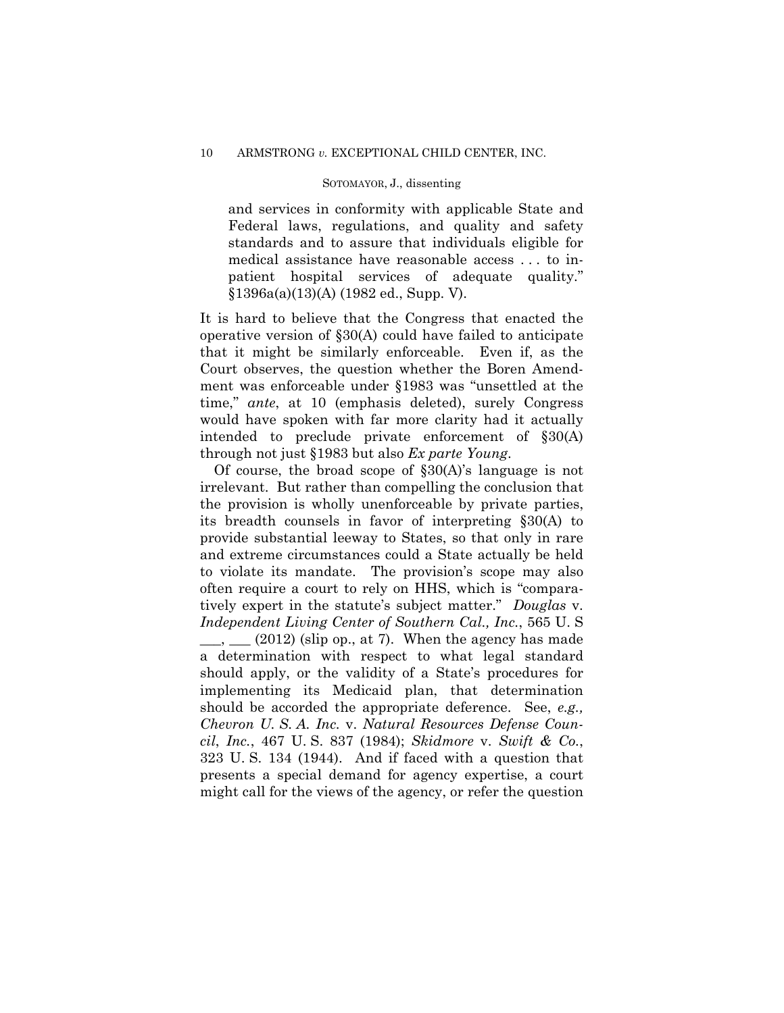and services in conformity with applicable State and Federal laws, regulations, and quality and safety standards and to assure that individuals eligible for medical assistance have reasonable access . . . to inpatient hospital services of adequate quality." §1396a(a)(13)(A) (1982 ed., Supp. V).

It is hard to believe that the Congress that enacted the operative version of §30(A) could have failed to anticipate that it might be similarly enforceable. Even if, as the Court observes, the question whether the Boren Amendment was enforceable under §1983 was "unsettled at the time," *ante*, at 10 (emphasis deleted), surely Congress would have spoken with far more clarity had it actually intended to preclude private enforcement of §30(A) through not just §1983 but also *Ex parte Young*.

Of course, the broad scope of  $\S 30(A)$ 's language is not irrelevant. But rather than compelling the conclusion that the provision is wholly unenforceable by private parties, its breadth counsels in favor of interpreting §30(A) to provide substantial leeway to States, so that only in rare and extreme circumstances could a State actually be held to violate its mandate. The provision's scope may also often require a court to rely on HHS, which is "comparatively expert in the statute's subject matter." *Douglas* v. *Independent Living Center of Southern Cal., Inc.*, 565 U. S  $\frac{1}{2}$ ,  $\frac{1}{2}$  (2012) (slip op., at 7). When the agency has made a determination with respect to what legal standard should apply, or the validity of a State's procedures for implementing its Medicaid plan, that determination should be accorded the appropriate deference. See, *e.g., Chevron U. S. A. Inc.* v. *Natural Resources Defense Council*, *Inc.*, 467 U. S. 837 (1984); *Skidmore* v. *Swift & Co.*,

323 U. S. 134 (1944). And if faced with a question that presents a special demand for agency expertise, a court might call for the views of the agency, or refer the question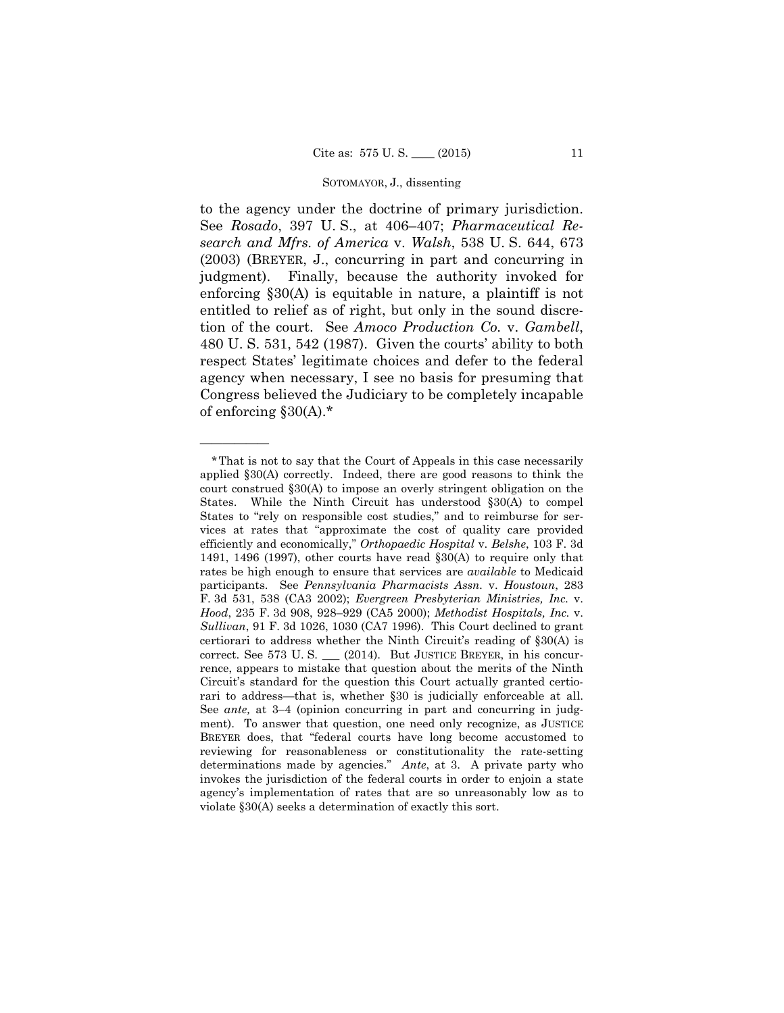to the agency under the doctrine of primary jurisdiction. See *Rosado*, 397 U. S., at 406–407; *Pharmaceutical Research and Mfrs. of America* v. *Walsh*, 538 U. S. 644, 673 (2003) (BREYER, J., concurring in part and concurring in judgment). Finally, because the authority invoked for enforcing §30(A) is equitable in nature, a plaintiff is not entitled to relief as of right, but only in the sound discretion of the court. See *Amoco Production Co.* v. *Gambell*, 480 U. S. 531, 542 (1987). Given the courts' ability to both respect States' legitimate choices and defer to the federal agency when necessary, I see no basis for presuming that Congress believed the Judiciary to be completely incapable of enforcing §30(A).\*

——————

 rari to address—that is, whether §30 is judicially enforceable at all. \*That is not to say that the Court of Appeals in this case necessarily applied §30(A) correctly. Indeed, there are good reasons to think the court construed §30(A) to impose an overly stringent obligation on the States. While the Ninth Circuit has understood §30(A) to compel States to "rely on responsible cost studies," and to reimburse for services at rates that "approximate the cost of quality care provided efficiently and economically," *Orthopaedic Hospital* v. *Belshe*, 103 F. 3d 1491, 1496 (1997), other courts have read §30(A) to require only that rates be high enough to ensure that services are *available* to Medicaid participants. See *Pennsylvania Pharmacists Assn.* v. *Houstoun*, 283 F. 3d 531, 538 (CA3 2002); *Evergreen Presbyterian Ministries, Inc.* v. *Hood*, 235 F. 3d 908, 928–929 (CA5 2000); *Methodist Hospitals, Inc.* v. *Sullivan*, 91 F. 3d 1026, 1030 (CA7 1996). This Court declined to grant certiorari to address whether the Ninth Circuit's reading of §30(A) is correct. See 573 U. S. \_\_\_ (2014). But JUSTICE BREYER, in his concurrence, appears to mistake that question about the merits of the Ninth Circuit's standard for the question this Court actually granted certio-See *ante,* at 3–4 (opinion concurring in part and concurring in judgment). To answer that question, one need only recognize, as JUSTICE BREYER does, that "federal courts have long become accustomed to reviewing for reasonableness or constitutionality the rate-setting determinations made by agencies." *Ante*, at 3. A private party who invokes the jurisdiction of the federal courts in order to enjoin a state agency's implementation of rates that are so unreasonably low as to violate §30(A) seeks a determination of exactly this sort.